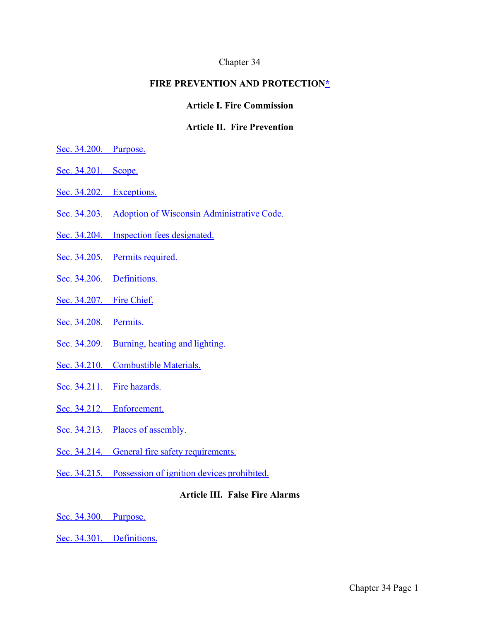#### Chapter 34

#### **FIRE PREVENTION AND PROTECTIO[N\\*](#page-1-0)**

#### **Article I. Fire Commission**

#### **Article II. Fire Prevention**

- Sec. 34.200. [Purpose.](#page-2-0)
- Sec. [34.201.](#page-2-1) Scope.
- Sec. 34.202. [Exceptions.](#page-2-2)
- Sec. 34.203. [Adoption of Wisconsin Administrative](#page-2-3) Code.
- Sec. 34.204. [Inspection fees](#page-4-0) designated.
- Sec. 34.205. Permits [required.](#page-5-0)
- Sec. 34.206. [Definitions.](#page-5-1)
- Sec. [34.207.](#page-16-0) Fire Chief.
- Sec. 34.208. [Permits.](#page-19-0)
- Sec. 34.209. [Burning, heating and](#page-20-0) lighting.
- Sec. 34.210. [Combustible](#page-23-0) Materials.
- Sec. 34.211. Fire [hazards.](#page-25-0)
- Sec. 34.212. [Enforcement.](#page-26-0)
- Sec. 34.213. Places of [assembly.](#page-26-1)
- Sec. 34.214. [General fire safety](#page-27-0) requirements.
- Sec. 34.215. [Possession of ignition devices](#page-32-0) prohibited.

#### **Article III. False Fire Alarms**

- Sec. 34.300. [Purpose.](#page-33-0)
- Sec. 34.301. [Definitions.](#page-34-0)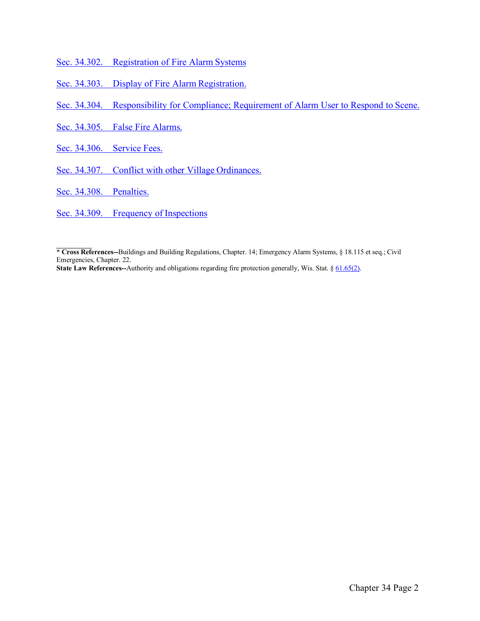Sec. 34.302. [Registration of Fire Alarm](#page-35-0) Systems

Sec. 34.303. [Display of Fire Alarm](#page-36-0) Registration.

- Sec. 34.304. [Responsibility for Compliance; Requirement of Alarm User to Respond to](#page-36-1) Scene.
- Sec. 34.305. [False Fire](#page-36-2) Alarms.
- Sec. 34.306. [Service](#page-37-0) Fees.
- Sec. 34.307. [Conflict with other Village](#page-37-1) Ordinances.
- Sec. 34.308. [Penalties.](#page-38-0)

Sec. 34.309. [Frequency of](#page-38-1) Inspections

<span id="page-1-0"></span>**\* Cross References--**Buildings and Building Regulations, Chapter. 14; Emergency Alarm Systems, § 18.115 et seq.; Civil Emergencies, Chapter. 22.

State Law References--Authority and obligations regarding fire protection generally, Wis. Stat. [§ 61.65\(2\).](http://docs.legis.wisconsin.gov/statutes/statutes/61/65/2)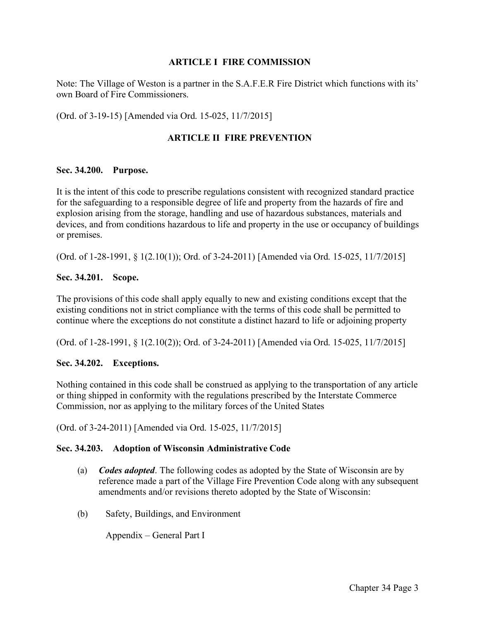### **ARTICLE I FIRE COMMISSION**

Note: The Village of Weston is a partner in the S.A.F.E.R Fire District which functions with its' own Board of Fire Commissioners.

(Ord. of 3-19-15) [Amended via Ord. 15-025, 11/7/2015]

## **ARTICLE II FIRE PREVENTION**

#### <span id="page-2-0"></span>**Sec. 34.200. Purpose.**

It is the intent of this code to prescribe regulations consistent with recognized standard practice for the safeguarding to a responsible degree of life and property from the hazards of fire and explosion arising from the storage, handling and use of hazardous substances, materials and devices, and from conditions hazardous to life and property in the use or occupancy of buildings or premises.

(Ord. of 1-28-1991, § 1(2.10(1)); Ord. of 3-24-2011) [Amended via Ord. 15-025, 11/7/2015]

#### <span id="page-2-1"></span>**Sec. 34.201. Scope.**

The provisions of this code shall apply equally to new and existing conditions except that the existing conditions not in strict compliance with the terms of this code shall be permitted to continue where the exceptions do not constitute a distinct hazard to life or adjoining property

(Ord. of 1-28-1991, § 1(2.10(2)); Ord. of 3-24-2011) [Amended via Ord. 15-025, 11/7/2015]

#### <span id="page-2-2"></span>**Sec. 34.202. Exceptions.**

Nothing contained in this code shall be construed as applying to the transportation of any article or thing shipped in conformity with the regulations prescribed by the Interstate Commerce Commission, nor as applying to the military forces of the United States

(Ord. of 3-24-2011) [Amended via Ord. 15-025, 11/7/2015]

#### <span id="page-2-3"></span>**Sec. 34.203. Adoption of Wisconsin Administrative Code**

- (a) *Codes adopted*. The following codes as adopted by the State of Wisconsin are by reference made a part of the Village Fire Prevention Code along with any subsequent amendments and/or revisions thereto adopted by the State of Wisconsin:
- (b) Safety, Buildings, and Environment

Appendix – General Part I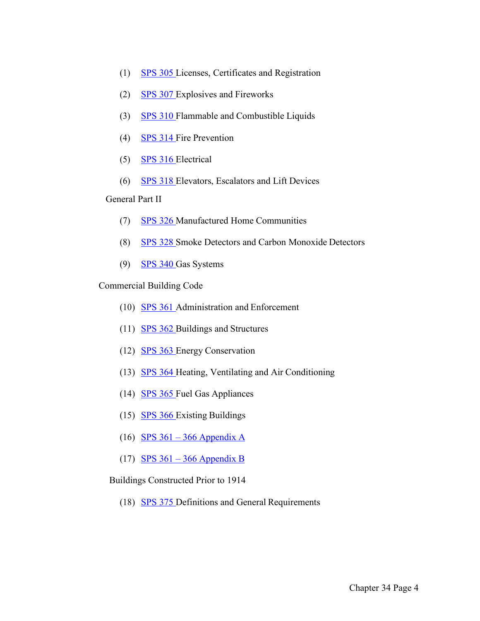- (1) [SPS 305 L](http://docs.legis.wisconsin.gov/code/admin_code/sps/safety_and_buildings_and_environment/301_319/305)icenses, Certificates and Registration
- (2) [SPS 307 E](http://docs.legis.wisconsin.gov/code/admin_code/sps/safety_and_buildings_and_environment/301_319/307)xplosives and Fireworks
- (3) [SPS 310 F](http://docs.legis.wisconsin.gov/code/register/2011/672b/insert/sps310)lammable and Combustible Liquids
- (4) [SPS 314 F](http://docs.legis.wisconsin.gov/code/admin_code/sps/safety_and_buildings_and_environment/301_319/314)ire Prevention
- (5) [SPS 316 E](http://docs.legis.wisconsin.gov/code/admin_code/sps/safety_and_buildings_and_environment/301_319/316)lectrical
- (6) [SPS 318 E](http://docs.legis.wisconsin.gov/code/admin_code/sps/safety_and_buildings_and_environment/301_319/318)levators, Escalators and Lift Devices

#### General Part II

- (7) [SPS 326 M](http://docs.legis.wisconsin.gov/code/admin_code/sps/safety_and_buildings_and_environment/326_360/326)anufactured Home Communities
- (8) [SPS 328 S](http://docs.legis.wisconsin.gov/code/admin_code/sps/safety_and_buildings_and_environment/326_360/328)moke Detectors and Carbon Monoxide Detectors
- (9) [SPS 340 G](http://docs.legis.wisconsin.gov/code/admin_code/sps/safety_and_buildings_and_environment/326_360/340)as Systems

Commercial Building Code

- (10) [SPS 361 A](http://docs.legis.wisconsin.gov/code/admin_code/sps/safety_and_buildings_and_environment/361_366/361)dministration and Enforcement
- (11) [SPS 362 B](http://docs.legis.wisconsin.gov/code/admin_code/sps/safety_and_buildings_and_environment/361_366/362)uildings and Structures
- (12) [SPS 363 E](http://docs.legis.wisconsin.gov/code/admin_code/sps/safety_and_buildings_and_environment/361_366/363)nergy Conservation
- (13) [SPS 364 H](http://docs.legis.wisconsin.gov/code/admin_code/sps/safety_and_buildings_and_environment/361_366/364)eating, Ventilating and Air Conditioning
- (14) [SPS 365 F](http://docs.legis.wisconsin.gov/code/admin_code/sps/safety_and_buildings_and_environment/361_366/365)uel Gas Appliances
- (15) [SPS 366 E](http://docs.legis.wisconsin.gov/code/admin_code/sps/safety_and_buildings_and_environment/361_366/366)xisting Buildings
- (16) SPS 361 [366 Appendix](http://docs.legis.wisconsin.gov/code/admin_code/sps/safety_and_buildings_and_environment/361_366/361) A
- (17) SPS  $361 366$  Appendix B

Buildings Constructed Prior to 1914

(18) [SPS 375 D](http://docs.legis.wisconsin.gov/code/admin_code/sps/safety_and_buildings_and_environment/375_379/375)efinitions and General Requirements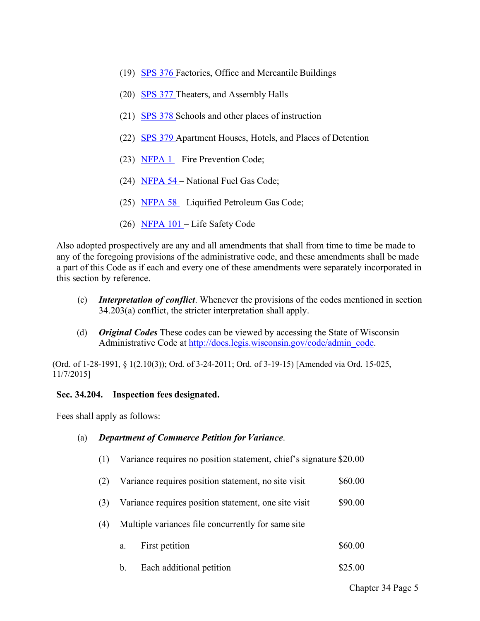- (19) [SPS 376 F](http://docs.legis.wisconsin.gov/code/admin_code/sps/safety_and_buildings_and_environment/375_379/376)actories, Office and Mercantile Buildings
- (20) [SPS 377 T](http://docs.legis.wisconsin.gov/code/admin_code/sps/safety_and_buildings_and_environment/375_379/377)heaters, and Assembly Halls
- (21) [SPS 378 S](http://docs.legis.wisconsin.gov/code/admin_code/sps/safety_and_buildings_and_environment/375_379/378)chools and other places of instruction
- (22) [SPS 379 A](http://docs.legis.wisconsin.gov/code/admin_code/sps/safety_and_buildings_and_environment/375_379/379)partment Houses, Hotels, and Places of Detention
- (23) NFPA  $1$  Fire Prevention Code;
- (24) NFPA  $54$  National Fuel Gas Code;
- (25) [NFPA 58 –](#page-27-1) Liquified Petroleum Gas Code;
- (26) [NFPA 101 –](#page-27-1) Life Safety Code

Also adopted prospectively are any and all amendments that shall from time to time be made to any of the foregoing provisions of the administrative code, and these amendments shall be made a part of this Code as if each and every one of these amendments were separately incorporated in this section by reference.

- (c) *Interpretation of conflict*. Whenever the provisions of the codes mentioned in section 34.203(a) conflict, the stricter interpretation shall apply.
- (d) *Original Codes* These codes can be viewed by accessing the State of Wisconsin Administrative Code at [http://docs.legis.wisconsin.gov/code/admin\\_code.](http://docs.legis.wisconsin.gov/code/admin_code)

(Ord. of 1-28-1991, § 1(2.10(3)); Ord. of 3-24-2011; Ord. of 3-19-15) [Amended via Ord. 15-025, 11/7/2015]

#### <span id="page-4-0"></span>**Sec. 34.204. Inspection fees designated.**

Fees shall apply as follows:

#### (a) *Department of Commerce Petition for Variance*.

- (1) Variance requires no position statement, chief's signature \$20.00
- (2) Variance requires position statement, no site visit  $$60.00$
- (3) Variance requires position statement, one site visit \$90.00
- (4) Multiple variances file concurrently for same site
	- a. First petition \$60.00
	- b. Each additional petition \$25.00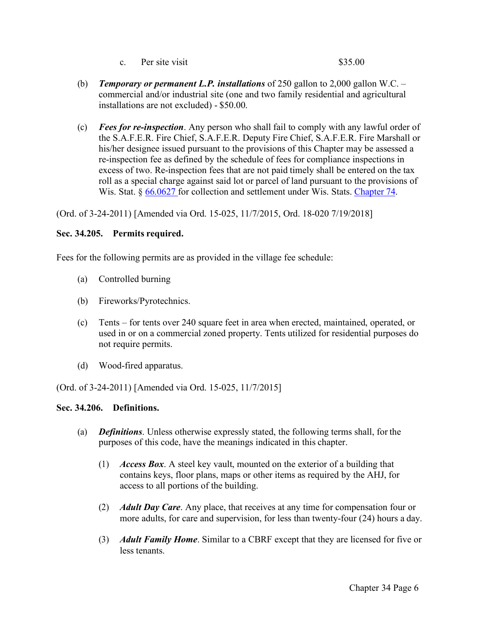- c. Per site visit  $$35.00$
- (b) *Temporary or permanent L.P. installations* of 250 gallon to 2,000 gallon W.C. commercial and/or industrial site (one and two family residential and agricultural installations are not excluded) - \$50.00.
- (c) *Fees for re-inspection*. Any person who shall fail to comply with any lawful order of the S.A.F.E.R. Fire Chief, S.A.F.E.R. Deputy Fire Chief, S.A.F.E.R. Fire Marshall or his/her designee issued pursuant to the provisions of this Chapter may be assessed a re-inspection fee as defined by the schedule of fees for compliance inspections in excess of two. Re-inspection fees that are not paid timely shall be entered on the tax roll as a special charge against said lot or parcel of land pursuant to the provisions of Wis. Stat. § [66.0627 f](http://docs.legis.wisconsin.gov/statutes/statutes/66/VI/0627)or collection and settlement under Wis. Stats. [Chapter](http://docs.legis.wisconsin.gov/statutes/statutes/74) 74.

<span id="page-5-0"></span>(Ord. of 3-24-2011) [Amended via Ord. 15-025, 11/7/2015, Ord. 18-020 7/19/2018]

# **Sec. 34.205. Permits required.**

Fees for the following permits are as provided in the village fee schedule:

- (a) Controlled burning
- (b) Fireworks/Pyrotechnics.
- (c) Tents for tents over 240 square feet in area when erected, maintained, operated, or used in or on a commercial zoned property. Tents utilized for residential purposes do not require permits.
- (d) Wood-fired apparatus.

<span id="page-5-1"></span>(Ord. of 3-24-2011) [Amended via Ord. 15-025, 11/7/2015]

# **Sec. 34.206. Definitions.**

- (a) *Definitions*. Unless otherwise expressly stated, the following terms shall, for the purposes of this code, have the meanings indicated in this chapter.
	- (1) *Access Box*. A steel key vault, mounted on the exterior of a building that contains keys, floor plans, maps or other items as required by the AHJ, for access to all portions of the building.
	- (2) *Adult Day Care*. Any place, that receives at any time for compensation four or more adults, for care and supervision, for less than twenty-four (24) hours a day.
	- (3) *Adult Family Home*. Similar to a CBRF except that they are licensed for five or less tenants.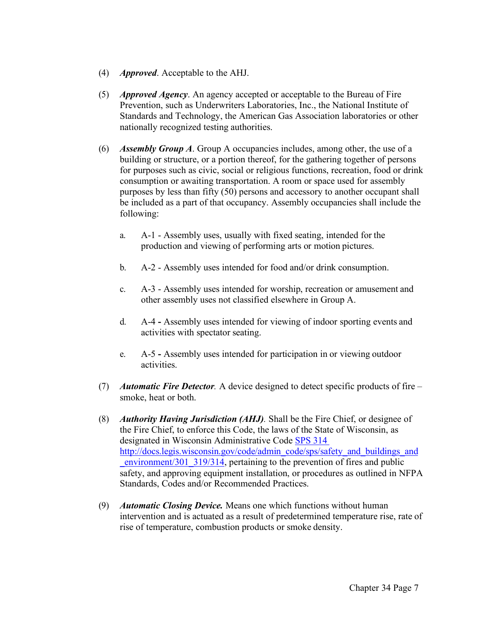- (4) *Approved*. Acceptable to the AHJ.
- (5) *Approved Agency*. An agency accepted or acceptable to the Bureau of Fire Prevention, such as Underwriters Laboratories, Inc., the National Institute of Standards and Technology, the American Gas Association laboratories or other nationally recognized testing authorities.
- (6) *Assembly Group A*. Group A occupancies includes, among other, the use of a building or structure, or a portion thereof, for the gathering together of persons for purposes such as civic, social or religious functions, recreation, food or drink consumption or awaiting transportation. A room or space used for assembly purposes by less than fifty (50) persons and accessory to another occupant shall be included as a part of that occupancy. Assembly occupancies shall include the following:
	- a. A-1 Assembly uses, usually with fixed seating, intended for the production and viewing of performing arts or motion pictures.
	- b. A-2 Assembly uses intended for food and/or drink consumption.
	- c. A-3 Assembly uses intended for worship, recreation or amusement and other assembly uses not classified elsewhere in Group A.
	- d. A-4 **-** Assembly uses intended for viewing of indoor sporting events and activities with spectator seating.
	- e. A-5 **-** Assembly uses intended for participation in or viewing outdoor activities.
- (7) *Automatic Fire Detector.* A device designed to detect specific products of fire smoke, heat or both.
- (8) *Authority Having Jurisdiction (AHJ).* Shall be the Fire Chief, or designee of the Fire Chief, to enforce this Code, the laws of the State of Wisconsin, as designated in Wisconsin Administrative Code [SPS 314](http://docs.legis.wisconsin.gov/code/admin_code/sps/safety_and_buildings_and_environment/301_319/314)  [http://docs.legis.wisconsin.gov/code/admin\\_code/sps/safety\\_and\\_buildings\\_and](http://docs.legis.wisconsin.gov/code/admin_code/sps/safety_and_buildings_and_environment/301_319/314) environment/301 319/314, pertaining to the prevention of fires and public safety, and approving equipment installation, or procedures as outlined in NFPA Standards, Codes and/or Recommended Practices.
- (9) *Automatic Closing Device.* Means one which functions without human intervention and is actuated as a result of predetermined temperature rise, rate of rise of temperature, combustion products or smoke density.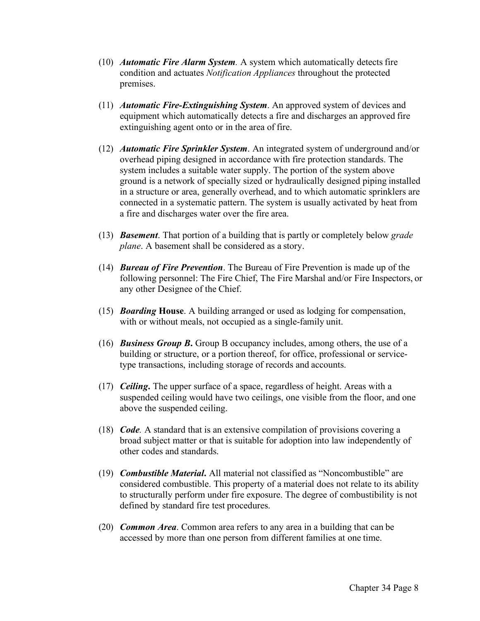- (10) *Automatic Fire Alarm System.* A system which automatically detectsfire condition and actuates *Notification Appliances* throughout the protected premises.
- (11) *Automatic Fire-Extinguishing System*. An approved system of devices and equipment which automatically detects a fire and discharges an approved fire extinguishing agent onto or in the area of fire.
- (12) *Automatic Fire Sprinkler System*. An integrated system of underground and/or overhead piping designed in accordance with fire protection standards. The system includes a suitable water supply. The portion of the system above ground is a network of specially sized or hydraulically designed piping installed in a structure or area, generally overhead, and to which automatic sprinklers are connected in a systematic pattern. The system is usually activated by heat from a fire and discharges water over the fire area.
- (13) *Basement*. That portion of a building that is partly or completely below *grade plane*. A basement shall be considered as a story.
- (14) *Bureau of Fire Prevention*. The Bureau of Fire Prevention is made up of the following personnel: The Fire Chief, The Fire Marshal and/or Fire Inspectors, or any other Designee of the Chief.
- (15) *Boarding* **House**. A building arranged or used as lodging for compensation, with or without meals, not occupied as a single-family unit.
- (16) *Business Group B***.** Group B occupancy includes, among others, the use of a building or structure, or a portion thereof, for office, professional or servicetype transactions, including storage of records and accounts.
- (17) *Ceiling***.** The upper surface of a space, regardless of height. Areas with a suspended ceiling would have two ceilings, one visible from the floor, and one above the suspended ceiling.
- (18) *Code.* A standard that is an extensive compilation of provisions covering a broad subject matter or that is suitable for adoption into law independently of other codes and standards.
- (19) *Combustible Material***.** All material not classified as "Noncombustible" are considered combustible. This property of a material does not relate to its ability to structurally perform under fire exposure. The degree of combustibility is not defined by standard fire test procedures.
- (20) *Common Area*. Common area refers to any area in a building that can be accessed by more than one person from different families at one time.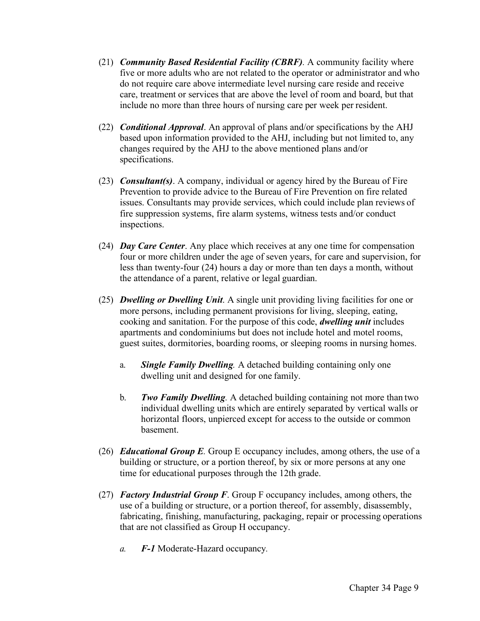- (21) *Community Based Residential Facility (CBRF).* A community facility where five or more adults who are not related to the operator or administrator and who do not require care above intermediate level nursing care reside and receive care, treatment or services that are above the level of room and board, but that include no more than three hours of nursing care per week per resident.
- (22) *Conditional Approval*. An approval of plans and/or specifications by the AHJ based upon information provided to the AHJ, including but not limited to, any changes required by the AHJ to the above mentioned plans and/or specifications.
- (23) *Consultant(s)*. A company, individual or agency hired by the Bureau of Fire Prevention to provide advice to the Bureau of Fire Prevention on fire related issues. Consultants may provide services, which could include plan reviews of fire suppression systems, fire alarm systems, witness tests and/or conduct inspections.
- (24) *Day Care Center*. Any place which receives at any one time for compensation four or more children under the age of seven years, for care and supervision, for less than twenty-four (24) hours a day or more than ten days a month, without the attendance of a parent, relative or legal guardian.
- (25) *Dwelling or Dwelling Unit*. A single unit providing living facilities for one or more persons, including permanent provisions for living, sleeping, eating, cooking and sanitation. For the purpose of this code, *dwelling unit* includes apartments and condominiums but does not include hotel and motel rooms, guest suites, dormitories, boarding rooms, or sleeping rooms in nursing homes.
	- a. *Single Family Dwelling.* A detached building containing only one dwelling unit and designed for one family.
	- b. *Two Family Dwelling.* A detached building containing not more than two individual dwelling units which are entirely separated by vertical walls or horizontal floors, unpierced except for access to the outside or common basement.
- (26) *Educational Group E.* Group E occupancy includes, among others, the use of a building or structure, or a portion thereof, by six or more persons at any one time for educational purposes through the 12th grade.
- (27) *Factory Industrial Group F*. Group F occupancy includes, among others, the use of a building or structure, or a portion thereof, for assembly, disassembly, fabricating, finishing, manufacturing, packaging, repair or processing operations that are not classified as Group H occupancy.
	- *a. F-1* Moderate-Hazard occupancy*.*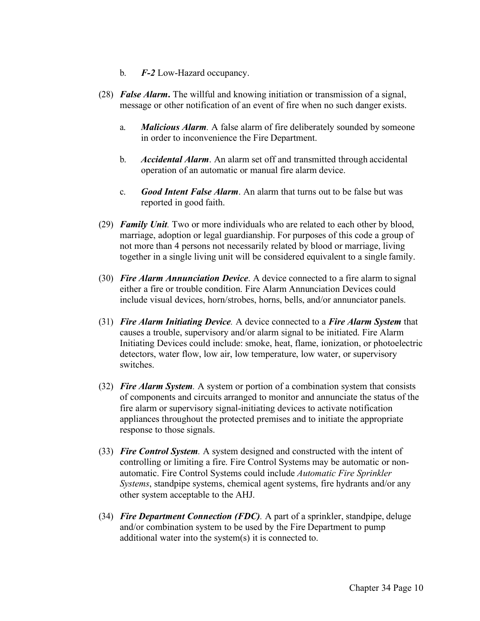- b. *F-2* Low-Hazard occupancy.
- (28) *False Alarm***.** The willful and knowing initiation or transmission of a signal, message or other notification of an event of fire when no such danger exists.
	- a. *Malicious Alarm.* A false alarm of fire deliberately sounded by someone in order to inconvenience the Fire Department.
	- b. *Accidental Alarm*. An alarm set off and transmitted through accidental operation of an automatic or manual fire alarm device.
	- c. *Good Intent False Alarm*. An alarm that turns out to be false but was reported in good faith.
- (29) *Family Unit.* Two or more individuals who are related to each other by blood, marriage, adoption or legal guardianship. For purposes of this code a group of not more than 4 persons not necessarily related by blood or marriage, living together in a single living unit will be considered equivalent to a single family.
- (30) *Fire Alarm Annunciation Device*. A device connected to a fire alarm to signal either a fire or trouble condition. Fire Alarm Annunciation Devices could include visual devices, horn/strobes, horns, bells, and/or annunciator panels.
- (31) *Fire Alarm Initiating Device.* A device connected to a *Fire Alarm System* that causes a trouble, supervisory and/or alarm signal to be initiated. Fire Alarm Initiating Devices could include: smoke, heat, flame, ionization, or photoelectric detectors, water flow, low air, low temperature, low water, or supervisory switches.
- (32) *Fire Alarm System.* A system or portion of a combination system that consists of components and circuits arranged to monitor and annunciate the status of the fire alarm or supervisory signal-initiating devices to activate notification appliances throughout the protected premises and to initiate the appropriate response to those signals.
- (33) *Fire Control System.* A system designed and constructed with the intent of controlling or limiting a fire. Fire Control Systems may be automatic or nonautomatic. Fire Control Systems could include *Automatic Fire Sprinkler Systems*, standpipe systems, chemical agent systems, fire hydrants and/or any other system acceptable to the AHJ.
- (34) *Fire Department Connection (FDC).* A part of a sprinkler, standpipe, deluge and/or combination system to be used by the Fire Department to pump additional water into the system(s) it is connected to.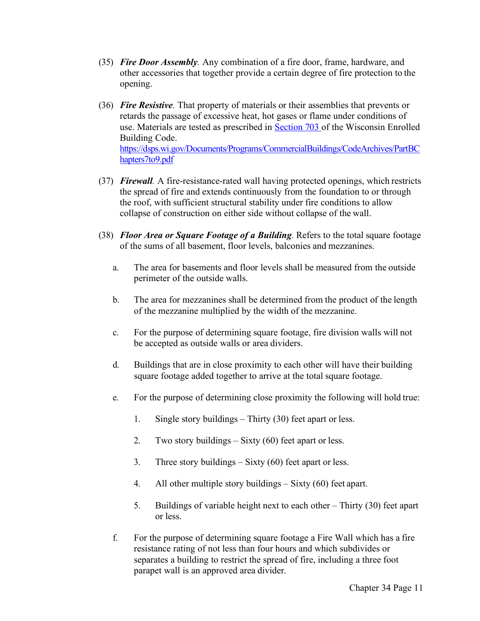- (35) *Fire Door Assembly.* Any combination of a fire door, frame, hardware, and other accessories that together provide a certain degree of fire protection to the opening.
- (36) *Fire Resistive.* That property of materials or their assemblies that prevents or retards the passage of excessive heat, hot gases or flame under conditions of use. Materials are tested as prescribed in [Section 703 o](http://docs.legis.wisconsin.gov/statutes/statutes/703)f the Wisconsin Enrolled Building Code. [https://dsps.wi.gov/Documents/Programs/CommercialBuildings/CodeArchives/PartBC](https://dsps.wi.gov/Documents/Programs/CommercialBuildings/CodeArchives/PartBChapters7to9.pdf) [hapters7to9.pdf](https://dsps.wi.gov/Documents/Programs/CommercialBuildings/CodeArchives/PartBChapters7to9.pdf)
- (37) *Firewall.* A fire-resistance-rated wall having protected openings, which restricts the spread of fire and extends continuously from the foundation to or through the roof, with sufficient structural stability under fire conditions to allow collapse of construction on either side without collapse of the wall.
- (38) *Floor Area or Square Footage of a Building.* Refers to the total square footage of the sums of all basement, floor levels, balconies and mezzanines.
	- a. The area for basements and floor levels shall be measured from the outside perimeter of the outside walls.
	- b. The area for mezzanines shall be determined from the product of the length of the mezzanine multiplied by the width of the mezzanine.
	- c. For the purpose of determining square footage, fire division walls will not be accepted as outside walls or area dividers.
	- d. Buildings that are in close proximity to each other will have their building square footage added together to arrive at the total square footage.
	- e. For the purpose of determining close proximity the following will hold true:
		- 1. Single story buildings Thirty (30) feet apart or less.
		- 2. Two story buildings Sixty (60) feet apart or less.
		- 3. Three story buildings  $-$  Sixty (60) feet apart or less.
		- 4. All other multiple story buildings Sixty (60) feet apart.
		- 5. Buildings of variable height next to each other Thirty (30) feet apart or less.
	- f. For the purpose of determining square footage a Fire Wall which has a fire resistance rating of not less than four hours and which subdivides or separates a building to restrict the spread of fire, including a three foot parapet wall is an approved area divider.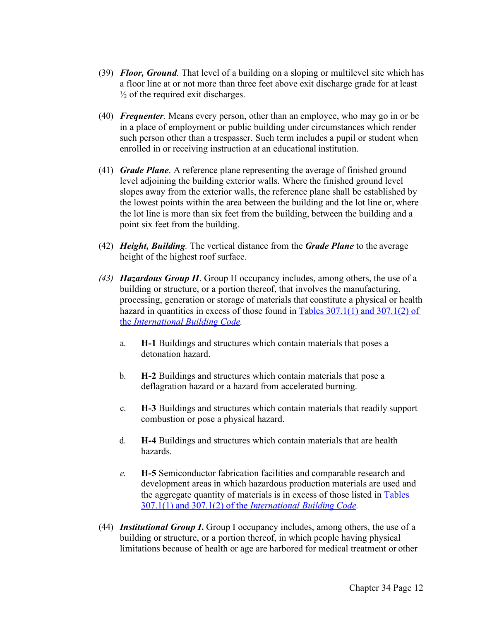- (39) *Floor, Ground.* That level of a building on a sloping or multilevel site which has a floor line at or not more than three feet above exit discharge grade for at least  $\frac{1}{2}$  of the required exit discharges.
- (40) *Frequenter.* Means every person, other than an employee, who may go in or be in a place of employment or public building under circumstances which render such person other than a trespasser. Such term includes a pupil or student when enrolled in or receiving instruction at an educational institution.
- (41) *Grade Plane*. A reference plane representing the average of finished ground level adjoining the building exterior walls. Where the finished ground level slopes away from the exterior walls, the reference plane shall be established by the lowest points within the area between the building and the lot line or, where the lot line is more than six feet from the building, between the building and a point six feet from the building.
- (42) *Height, Building.* The vertical distance from the *Grade Plane* to the average height of the highest roof surface.
- *(43) Hazardous Group H*. Group H occupancy includes, among others, the use of a building or structure, or a portion thereof, that involves the manufacturing, processing, generation or storage of materials that constitute a physical or health hazard in quantities in excess of those found in Tables 307.1(1) and 307.1(2) of the *[International Building](https://codes.iccsafe.org/content/IBC2015/chapter-3-use-and-occupancy-classification) Code.*
	- a. **H-1** Buildings and structures which contain materials that poses a detonation hazard.
	- b. **H-2** Buildings and structures which contain materials that pose a deflagration hazard or a hazard from accelerated burning.
	- c. **H-3** Buildings and structures which contain materials that readily support combustion or pose a physical hazard.
	- d. **H-4** Buildings and structures which contain materials that are health hazards.
	- *e.* **H-5** Semiconductor fabrication facilities and comparable research and development areas in which hazardous production materials are used and [the aggregate quantity of materials is in excess of those listed in Tables](https://codes.iccsafe.org/content/IBC2015/chapter-3-use-and-occupancy-classification)  [307.1\(1\) and 307.1\(2\) of the](https://codes.iccsafe.org/content/IBC2015/chapter-3-use-and-occupancy-classification) *International Building Code.*
- (44) *Institutional Group I***.** Group I occupancy includes, among others, the use of a building or structure, or a portion thereof, in which people having physical limitations because of health or age are harbored for medical treatment or other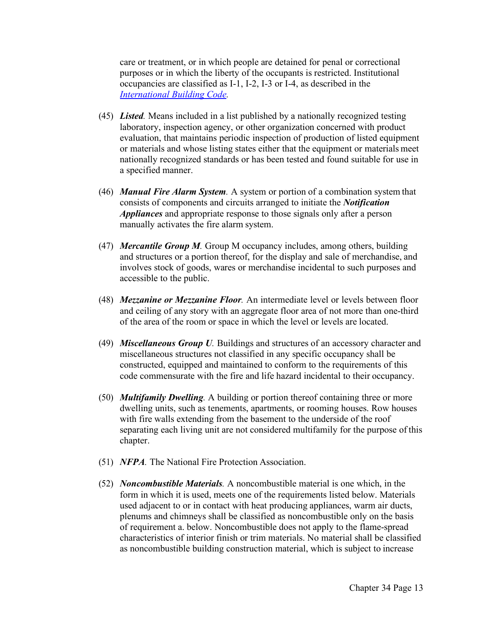care or treatment, or in which people are detained for penal or correctional purposes or in which the liberty of the occupants is restricted. Institutional occupancies are classified as [I-1, I-2, I-3 or I-4,](http://codes.iccsafe.org/app/book/content/2015-I-Codes/2015%20IBC%20HTML/Chapter%203.html) as described in the *[International Building Code.](https://codes.iccsafe.org/content/IBC2015/chapter-3-use-and-occupancy-classification)*

- (45) *Listed.* Means included in a list published by a nationally recognized testing laboratory, inspection agency, or other organization concerned with product evaluation, that maintains periodic inspection of production of listed equipment or materials and whose listing states either that the equipment or materials meet nationally recognized standards or has been tested and found suitable for use in a specified manner.
- (46) *Manual Fire Alarm System.* A system or portion of a combination system that consists of components and circuits arranged to initiate the *Notification Appliances* and appropriate response to those signals only after a person manually activates the fire alarm system.
- (47) *Mercantile Group M.* Group M occupancy includes, among others, building and structures or a portion thereof, for the display and sale of merchandise, and involves stock of goods, wares or merchandise incidental to such purposes and accessible to the public.
- (48) *Mezzanine or Mezzanine Floor.* An intermediate level or levels between floor and ceiling of any story with an aggregate floor area of not more than one-third of the area of the room or space in which the level or levels are located.
- (49) *Miscellaneous Group U.* Buildings and structures of an accessory character and miscellaneous structures not classified in any specific occupancy shall be constructed, equipped and maintained to conform to the requirements of this code commensurate with the fire and life hazard incidental to their occupancy.
- (50) *Multifamily Dwelling.* A building or portion thereof containing three or more dwelling units, such as tenements, apartments, or rooming houses. Row houses with fire walls extending from the basement to the underside of the roof separating each living unit are not considered multifamily for the purpose of this chapter.
- (51) *NFPA.* The National Fire Protection Association.
- (52) *Noncombustible Materials.* A noncombustible material is one which, in the form in which it is used, meets one of the requirements listed below. Materials used adjacent to or in contact with heat producing appliances, warm air ducts, plenums and chimneys shall be classified as noncombustible only on the basis of requirement a. below. Noncombustible does not apply to the flame-spread characteristics of interior finish or trim materials. No material shall be classified as noncombustible building construction material, which is subject to increase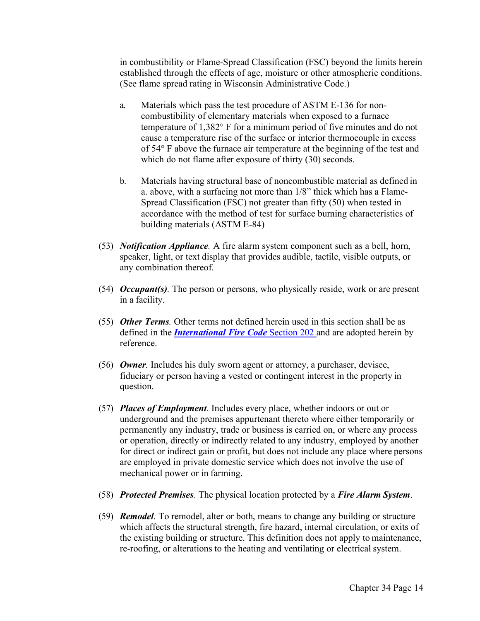in combustibility or Flame-Spread Classification (FSC) beyond the limits herein established through the effects of age, moisture or other atmospheric conditions. (See flame spread rating in Wisconsin Administrative Code.)

- a. Materials which pass the test procedure of ASTM E-136 for noncombustibility of elementary materials when exposed to a furnace temperature of 1,382° F for a minimum period of five minutes and do not cause a temperature rise of the surface or interior thermocouple in excess of 54° F above the furnace air temperature at the beginning of the test and which do not flame after exposure of thirty (30) seconds.
- b. Materials having structural base of noncombustible material as defined in a. above, with a surfacing not more than 1/8" thick which has a Flame-Spread Classification (FSC) not greater than fifty (50) when tested in accordance with the method of test for surface burning characteristics of building materials (ASTM E-84)
- (53) *Notification Appliance.* A fire alarm system component such as a bell, horn, speaker, light, or text display that provides audible, tactile, visible outputs, or any combination thereof.
- (54) *Occupant(s).* The person or persons, who physically reside, work or are present in a facility.
- (55) *Other Terms.* Other terms not defined herein used in this section shall be as defined in the *[International Fire Code](https://codes.iccsafe.org/content/IFC2018/CHAPTER-2-DEFINITIONS?site_type=public)* Section 202 and are adopted herein by reference.
- (56) *Owner.* Includes his duly sworn agent or attorney, a purchaser, devisee, fiduciary or person having a vested or contingent interest in the property in question.
- (57) *Places of Employment.* Includes every place, whether indoors or out or underground and the premises appurtenant thereto where either temporarily or permanently any industry, trade or business is carried on, or where any process or operation, directly or indirectly related to any industry, employed by another for direct or indirect gain or profit, but does not include any place where persons are employed in private domestic service which does not involve the use of mechanical power or in farming.
- (58) *Protected Premises.* The physical location protected by a *Fire Alarm System*.
- (59) *Remodel.* To remodel, alter or both, means to change any building or structure which affects the structural strength, fire hazard, internal circulation, or exits of the existing building or structure. This definition does not apply to maintenance, re-roofing, or alterations to the heating and ventilating or electrical system.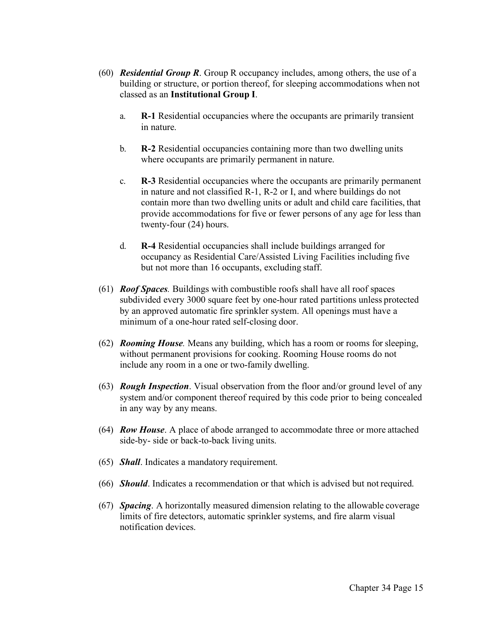- (60) *Residential Group R*. Group R occupancy includes, among others, the use of a building or structure, or portion thereof, for sleeping accommodations when not classed as an **Institutional Group I**.
	- a. **R-1** Residential occupancies where the occupants are primarily transient in nature.
	- b. **R-2** Residential occupancies containing more than two dwelling units where occupants are primarily permanent in nature.
	- c. **R-3** Residential occupancies where the occupants are primarily permanent in nature and not classified R-1, R-2 or I, and where buildings do not contain more than two dwelling units or adult and child care facilities, that provide accommodations for five or fewer persons of any age for less than twenty-four (24) hours.
	- d. **R-4** Residential occupancies shall include buildings arranged for occupancy as Residential Care/Assisted Living Facilities including five but not more than 16 occupants, excluding staff.
- (61) *Roof Spaces.* Buildings with combustible roofs shall have all roof spaces subdivided every 3000 square feet by one-hour rated partitions unless protected by an approved automatic fire sprinkler system. All openings must have a minimum of a one-hour rated self-closing door.
- (62) *Rooming House.* Means any building, which has a room or rooms for sleeping, without permanent provisions for cooking. Rooming House rooms do not include any room in a one or two-family dwelling.
- (63) *Rough Inspection*. Visual observation from the floor and/or ground level of any system and/or component thereof required by this code prior to being concealed in any way by any means.
- (64) *Row House*. A place of abode arranged to accommodate three or more attached side-by- side or back-to-back living units.
- (65) *Shall*. Indicates a mandatory requirement.
- (66) *Should*. Indicates a recommendation or that which is advised but not required.
- (67) *Spacing*. A horizontally measured dimension relating to the allowable coverage limits of fire detectors, automatic sprinkler systems, and fire alarm visual notification devices.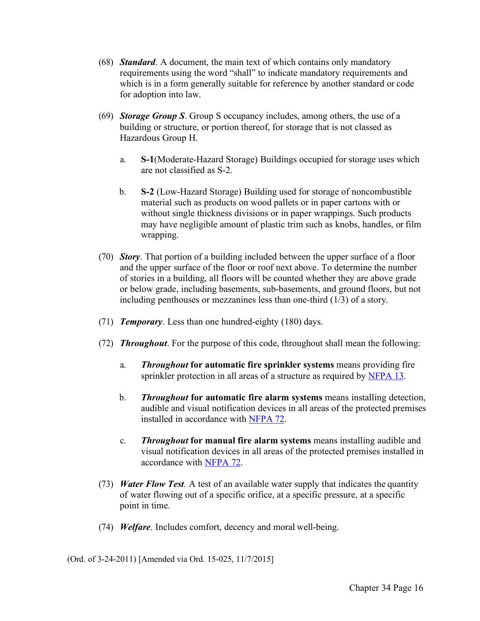- (68) *Standard*. A document, the main text of which contains only mandatory requirements using the word "shall" to indicate mandatory requirements and which is in a form generally suitable for reference by another standard or code for adoption into law.
- (69) *Storage Group S*. Group S occupancy includes, among others, the use of a building or structure, or portion thereof, for storage that is not classed as Hazardous Group H.
	- a. **S-1**(Moderate-Hazard Storage) Buildings occupied for storage uses which are not classified as S-2.
	- b. **S-2** (Low-Hazard Storage) Building used for storage of noncombustible material such as products on wood pallets or in paper cartons with or without single thickness divisions or in paper wrappings. Such products may have negligible amount of plastic trim such as knobs, handles, or film wrapping.
- (70) *Story*. That portion of a building included between the upper surface of a floor and the upper surface of the floor or roof next above. To determine the number of stories in a building, all floors will be counted whether they are above grade or below grade, including basements, sub-basements, and ground floors, but not including penthouses or mezzanines less than one-third (1/3) of a story.
- (71) *Temporary*. Less than one hundred-eighty (180) days.
- (72) *Throughout*. For the purpose of this code, throughout shall mean the following:
	- a. *Throughout* **for automatic fire sprinkler systems** means providing fire sprinkler protection in all areas of a structure as required by [NFPA](https://www.nfpa.org/codes-and-standards/all-codes-and-standards/list-of-codes-and-standards/detail?code=13) 13.
	- b. *Throughout* **for automatic fire alarm systems** means installing detection, audible and visual notification devices in all areas of the protected premises installed in accordance with [NFPA](https://www.nfpa.org/codes-and-standards/all-codes-and-standards/list-of-codes-and-standards/detail?code=72) 72.
	- c. *Throughout* **for manual fire alarm systems** means installing audible and visual notification devices in all areas of the protected premises installed in accordance with [NFPA](https://www.nfpa.org/codes-and-standards/all-codes-and-standards/list-of-codes-and-standards/detail?code=72) 72.
- (73) *Water Flow Test.* A test of an available water supply that indicates the quantity of water flowing out of a specific orifice, at a specific pressure, at a specific point in time.
- (74) *Welfare*. Includes comfort, decency and moral well-being.

(Ord. of 3-24-2011) [Amended via Ord. 15-025, 11/7/2015]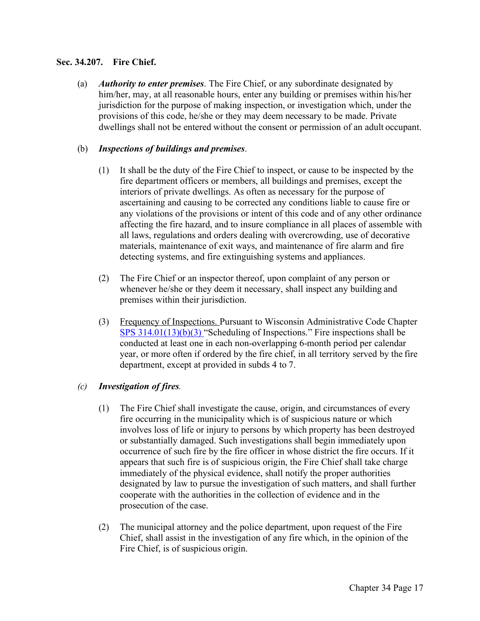#### <span id="page-16-0"></span>**Sec. 34.207. Fire Chief.**

(a) *Authority to enter premises*. The Fire Chief, or any subordinate designated by him/her, may, at all reasonable hours, enter any building or premises within his/her jurisdiction for the purpose of making inspection, or investigation which, under the provisions of this code, he/she or they may deem necessary to be made. Private dwellings shall not be entered without the consent or permission of an adult occupant.

### <span id="page-16-1"></span>(b) *Inspections of buildings and premises*.

- (1) It shall be the duty of the Fire Chief to inspect, or cause to be inspected by the fire department officers or members, all buildings and premises, except the interiors of private dwellings. As often as necessary for the purpose of ascertaining and causing to be corrected any conditions liable to cause fire or any violations of the provisions or intent of this code and of any other ordinance affecting the fire hazard, and to insure compliance in all places of assemble with all laws, regulations and orders dealing with overcrowding, use of decorative materials, maintenance of exit ways, and maintenance of fire alarm and fire detecting systems, and fire extinguishing systems and appliances.
- (2) The Fire Chief or an inspector thereof, upon complaint of any person or whenever he/she or they deem it necessary, shall inspect any building and premises within their jurisdiction.
- (3) Frequency of Inspections. Pursuant to Wisconsin Administrative Code Chapter [SPS 314.01\(13\)\(b\)\(3\) "](http://docs.legis.wisconsin.gov/code/admin_code/sps/safety_and_buildings_and_environment/301_319/314/II/01/13/b/3)Scheduling of Inspections." Fire inspections shall be conducted at least one in each non-overlapping 6-month period per calendar year, or more often if ordered by the fire chief, in all territory served by the fire department, except at provided in subds 4 to 7.

### *(c) Investigation of fires.*

- (1) The Fire Chief shall investigate the cause, origin, and circumstances of every fire occurring in the municipality which is of suspicious nature or which involves loss of life or injury to persons by which property has been destroyed or substantially damaged. Such investigations shall begin immediately upon occurrence of such fire by the fire officer in whose district the fire occurs. If it appears that such fire is of suspicious origin, the Fire Chief shall take charge immediately of the physical evidence, shall notify the proper authorities designated by law to pursue the investigation of such matters, and shall further cooperate with the authorities in the collection of evidence and in the prosecution of the case.
- (2) The municipal attorney and the police department, upon request of the Fire Chief, shall assist in the investigation of any fire which, in the opinion of the Fire Chief, is of suspicious origin.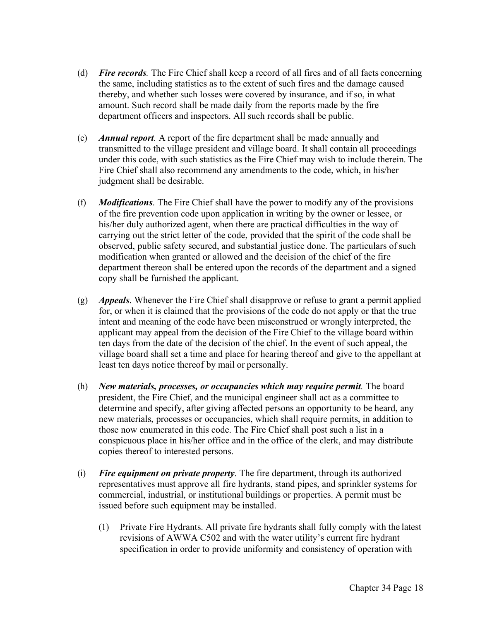- (d) *Fire records.* The Fire Chief shall keep a record of all fires and of all facts concerning the same, including statistics as to the extent of such fires and the damage caused thereby, and whether such losses were covered by insurance, and if so, in what amount. Such record shall be made daily from the reports made by the fire department officers and inspectors. All such records shall be public.
- (e) *Annual report.* A report of the fire department shall be made annually and transmitted to the village president and village board. It shall contain all proceedings under this code, with such statistics as the Fire Chief may wish to include therein. The Fire Chief shall also recommend any amendments to the code, which, in his/her judgment shall be desirable.
- (f) *Modifications*. The Fire Chief shall have the power to modify any of the provisions of the fire prevention code upon application in writing by the owner or lessee, or his/her duly authorized agent, when there are practical difficulties in the way of carrying out the strict letter of the code, provided that the spirit of the code shall be observed, public safety secured, and substantial justice done. The particulars of such modification when granted or allowed and the decision of the chief of the fire department thereon shall be entered upon the records of the department and a signed copy shall be furnished the applicant.
- (g) *Appeals*. Whenever the Fire Chief shall disapprove or refuse to grant a permit applied for, or when it is claimed that the provisions of the code do not apply or that the true intent and meaning of the code have been misconstrued or wrongly interpreted, the applicant may appeal from the decision of the Fire Chief to the village board within ten days from the date of the decision of the chief. In the event of such appeal, the village board shall set a time and place for hearing thereof and give to the appellant at least ten days notice thereof by mail or personally.
- (h) *New materials, processes, or occupancies which may require permit.* The board president, the Fire Chief, and the municipal engineer shall act as a committee to determine and specify, after giving affected persons an opportunity to be heard, any new materials, processes or occupancies, which shall require permits, in addition to those now enumerated in this code. The Fire Chief shall post such a list in a conspicuous place in his/her office and in the office of the clerk, and may distribute copies thereof to interested persons.
- (i) *Fire equipment on private property*. The fire department, through its authorized representatives must approve all fire hydrants, stand pipes, and sprinkler systems for commercial, industrial, or institutional buildings or properties. A permit must be issued before such equipment may be installed.
	- (1) Private Fire Hydrants. All private fire hydrants shall fully comply with the latest revisions of AWWA C502 and with the water utility's current fire hydrant specification in order to provide uniformity and consistency of operation with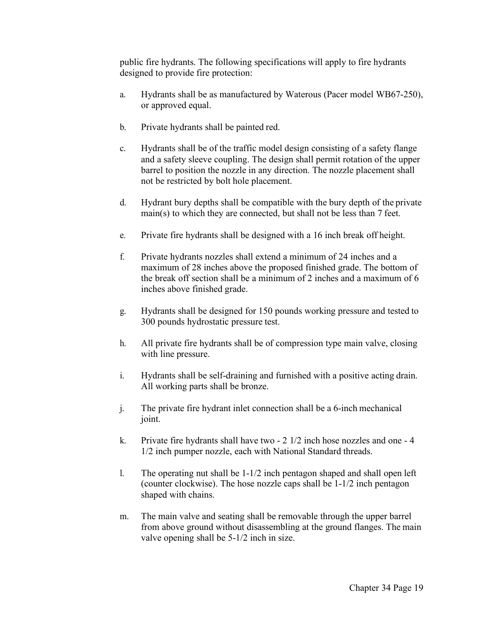public fire hydrants. The following specifications will apply to fire hydrants designed to provide fire protection:

- a. Hydrants shall be as manufactured by Waterous (Pacer model WB67-250), or approved equal.
- b. Private hydrants shall be painted red.
- c. Hydrants shall be of the traffic model design consisting of a safety flange and a safety sleeve coupling. The design shall permit rotation of the upper barrel to position the nozzle in any direction. The nozzle placement shall not be restricted by bolt hole placement.
- d. Hydrant bury depths shall be compatible with the bury depth of the private main(s) to which they are connected, but shall not be less than 7 feet.
- e. Private fire hydrants shall be designed with a 16 inch break off height.
- f. Private hydrants nozzles shall extend a minimum of 24 inches and a maximum of 28 inches above the proposed finished grade. The bottom of the break off section shall be a minimum of 2 inches and a maximum of 6 inches above finished grade.
- g. Hydrants shall be designed for 150 pounds working pressure and tested to 300 pounds hydrostatic pressure test.
- h. All private fire hydrants shall be of compression type main valve, closing with line pressure.
- i. Hydrants shall be self-draining and furnished with a positive acting drain. All working parts shall be bronze.
- j. The private fire hydrant inlet connection shall be a 6-inch mechanical joint.
- k. Private fire hydrants shall have two 2 1/2 inch hose nozzles and one 4 1/2 inch pumper nozzle, each with National Standard threads.
- l. The operating nut shall be 1-1/2 inch pentagon shaped and shall open left (counter clockwise). The hose nozzle caps shall be 1-1/2 inch pentagon shaped with chains.
- m. The main valve and seating shall be removable through the upper barrel from above ground without disassembling at the ground flanges. The main valve opening shall be 5-1/2 inch in size.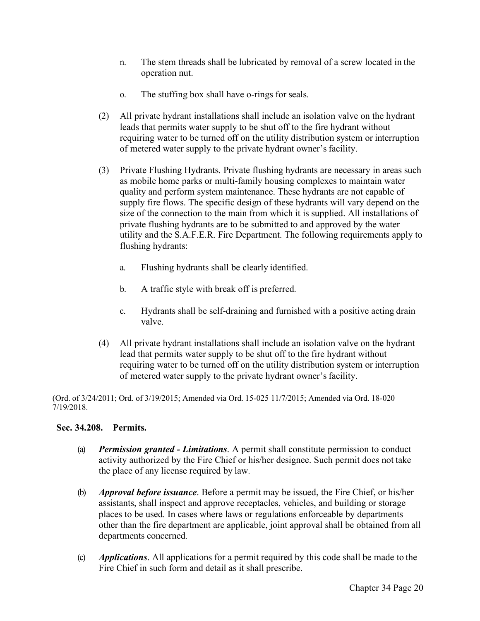- n. The stem threads shall be lubricated by removal of a screw located in the operation nut.
- o. The stuffing box shall have o-rings for seals.
- (2) All private hydrant installations shall include an isolation valve on the hydrant leads that permits water supply to be shut off to the fire hydrant without requiring water to be turned off on the utility distribution system or interruption of metered water supply to the private hydrant owner's facility.
- (3) Private Flushing Hydrants. Private flushing hydrants are necessary in areas such as mobile home parks or multi-family housing complexes to maintain water quality and perform system maintenance. These hydrants are not capable of supply fire flows. The specific design of these hydrants will vary depend on the size of the connection to the main from which it is supplied. All installations of private flushing hydrants are to be submitted to and approved by the water utility and the S.A.F.E.R. Fire Department. The following requirements apply to flushing hydrants:
	- a. Flushing hydrants shall be clearly identified.
	- b. A traffic style with break off is preferred.
	- c. Hydrants shall be self-draining and furnished with a positive acting drain valve.
- (4) All private hydrant installations shall include an isolation valve on the hydrant lead that permits water supply to be shut off to the fire hydrant without requiring water to be turned off on the utility distribution system or interruption of metered water supply to the private hydrant owner's facility.

(Ord. of 3/24/2011; Ord. of 3/19/2015; Amended via Ord. 15-025 11/7/2015; Amended via Ord. 18-020 7/19/2018.

### <span id="page-19-0"></span>**Sec. 34.208. Permits.**

- (a) *Permission granted - Limitations*. A permit shall constitute permission to conduct activity authorized by the Fire Chief or his/her designee. Such permit does not take the place of any license required by law.
- (b) *Approval before issuance*. Before a permit may be issued, the Fire Chief, or his/her assistants, shall inspect and approve receptacles, vehicles, and building or storage places to be used. In cases where laws or regulations enforceable by departments other than the fire department are applicable, joint approval shall be obtained from all departments concerned.
- (c) *Applications*. All applications for a permit required by this code shall be made to the Fire Chief in such form and detail as it shall prescribe.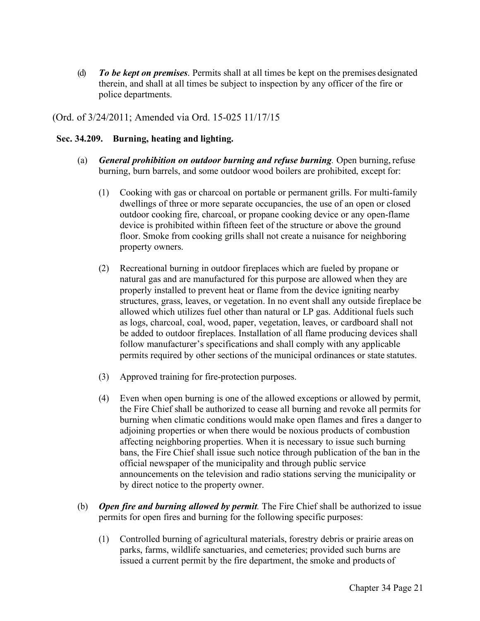(d) *To be kept on premises*. Permits shall at all times be kept on the premises designated therein, and shall at all times be subject to inspection by any officer of the fire or police departments.

## (Ord. of 3/24/2011; Amended via Ord. 15-025 11/17/15

#### <span id="page-20-1"></span><span id="page-20-0"></span>**Sec. 34.209. Burning, heating and lighting.**

- (a) *General prohibition on outdoor burning and refuse burning.* Open burning, refuse burning, burn barrels, and some outdoor wood boilers are prohibited, except for:
	- (1) Cooking with gas or charcoal on portable or permanent grills. For multi-family dwellings of three or more separate occupancies, the use of an open or closed outdoor cooking fire, charcoal, or propane cooking device or any open-flame device is prohibited within fifteen feet of the structure or above the ground floor. Smoke from cooking grills shall not create a nuisance for neighboring property owners.
	- (2) Recreational burning in outdoor fireplaces which are fueled by propane or natural gas and are manufactured for this purpose are allowed when they are properly installed to prevent heat or flame from the device igniting nearby structures, grass, leaves, or vegetation. In no event shall any outside fireplace be allowed which utilizes fuel other than natural or LP gas. Additional fuels such as logs, charcoal, coal, wood, paper, vegetation, leaves, or cardboard shall not be added to outdoor fireplaces. Installation of all flame producing devices shall follow manufacturer's specifications and shall comply with any applicable permits required by other sections of the municipal ordinances or state statutes.
	- (3) Approved training for fire-protection purposes.
	- (4) Even when open burning is one of the allowed exceptions or allowed by permit, the Fire Chief shall be authorized to cease all burning and revoke all permits for burning when climatic conditions would make open flames and fires a danger to adjoining properties or when there would be noxious products of combustion affecting neighboring properties. When it is necessary to issue such burning bans, the Fire Chief shall issue such notice through publication of the ban in the official newspaper of the municipality and through public service announcements on the television and radio stations serving the municipality or by direct notice to the property owner.
- (b) *Open fire and burning allowed by permit.* The Fire Chief shall be authorized to issue permits for open fires and burning for the following specific purposes:
	- (1) Controlled burning of agricultural materials, forestry debris or prairie areas on parks, farms, wildlife sanctuaries, and cemeteries; provided such burns are issued a current permit by the fire department, the smoke and products of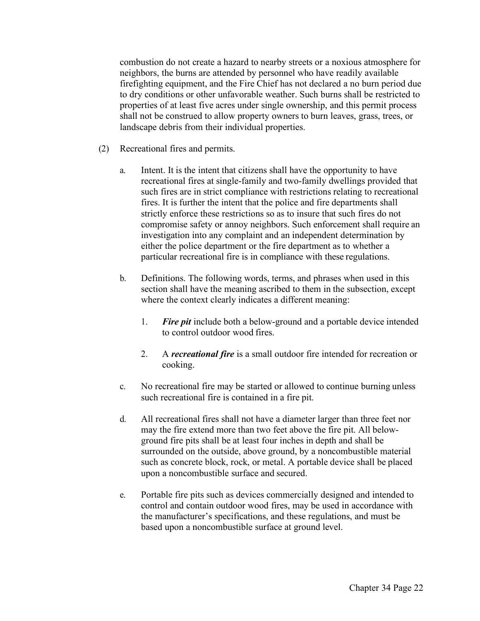combustion do not create a hazard to nearby streets or a noxious atmosphere for neighbors, the burns are attended by personnel who have readily available firefighting equipment, and the Fire Chief has not declared a no burn period due to dry conditions or other unfavorable weather. Such burns shall be restricted to properties of at least five acres under single ownership, and this permit process shall not be construed to allow property owners to burn leaves, grass, trees, or landscape debris from their individual properties.

- (2) Recreational fires and permits.
	- a. Intent. It is the intent that citizens shall have the opportunity to have recreational fires at single-family and two-family dwellings provided that such fires are in strict compliance with restrictions relating to recreational fires. It is further the intent that the police and fire departments shall strictly enforce these restrictions so as to insure that such fires do not compromise safety or annoy neighbors. Such enforcement shall require an investigation into any complaint and an independent determination by either the police department or the fire department as to whether a particular recreational fire is in compliance with these regulations.
	- b. Definitions. The following words, terms, and phrases when used in this section shall have the meaning ascribed to them in the subsection, except where the context clearly indicates a different meaning:
		- 1. *Fire pit* include both a below-ground and a portable device intended to control outdoor wood fires.
		- 2. A *recreational fire* is a small outdoor fire intended for recreation or cooking.
	- c. No recreational fire may be started or allowed to continue burning unless such recreational fire is contained in a fire pit.
	- d. All recreational fires shall not have a diameter larger than three feet nor may the fire extend more than two feet above the fire pit. All belowground fire pits shall be at least four inches in depth and shall be surrounded on the outside, above ground, by a noncombustible material such as concrete block, rock, or metal. A portable device shall be placed upon a noncombustible surface and secured.
	- e. Portable fire pits such as devices commercially designed and intended to control and contain outdoor wood fires, may be used in accordance with the manufacturer's specifications, and these regulations, and must be based upon a noncombustible surface at ground level.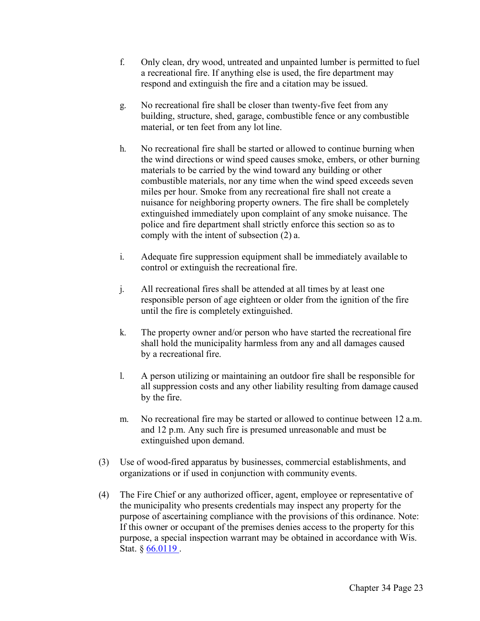- f. Only clean, dry wood, untreated and unpainted lumber is permitted to fuel a recreational fire. If anything else is used, the fire department may respond and extinguish the fire and a citation may be issued.
- g. No recreational fire shall be closer than twenty-five feet from any building, structure, shed, garage, combustible fence or any combustible material, or ten feet from any lot line.
- h. No recreational fire shall be started or allowed to continue burning when the wind directions or wind speed causes smoke, embers, or other burning materials to be carried by the wind toward any building or other combustible materials, nor any time when the wind speed exceeds seven miles per hour. Smoke from any recreational fire shall not create a nuisance for neighboring property owners. The fire shall be completely extinguished immediately upon complaint of any smoke nuisance. The police and fire department shall strictly enforce this section so as to comply with the intent of subsection (2) a.
- i. Adequate fire suppression equipment shall be immediately available to control or extinguish the recreational fire.
- j. All recreational fires shall be attended at all times by at least one responsible person of age eighteen or older from the ignition of the fire until the fire is completely extinguished.
- k. The property owner and/or person who have started the recreational fire shall hold the municipality harmless from any and all damages caused by a recreational fire.
- l. A person utilizing or maintaining an outdoor fire shall be responsible for all suppression costs and any other liability resulting from damage caused by the fire.
- m. No recreational fire may be started or allowed to continue between 12 a.m. and 12 p.m. Any such fire is presumed unreasonable and must be extinguished upon demand.
- (3) Use of wood-fired apparatus by businesses, commercial establishments, and organizations or if used in conjunction with community events.
- (4) The Fire Chief or any authorized officer, agent, employee or representative of the municipality who presents credentials may inspect any property for the purpose of ascertaining compliance with the provisions of this ordinance. Note: If this owner or occupant of the premises denies access to the property for this purpose, a special inspection warrant may be obtained in accordance with Wis. Stat.  $§ 66.0119$  $§ 66.0119$ .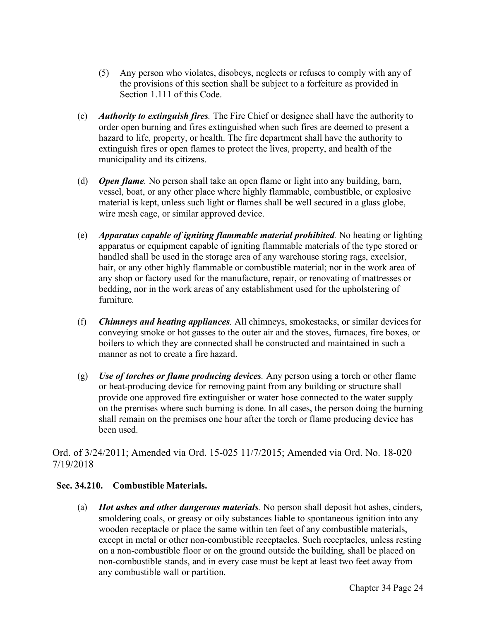- (5) Any person who violates, disobeys, neglects or refuses to comply with any of the provisions of this section shall be subject to a forfeiture as provided in Section 1.111 of this Code.
- (c) *Authority to extinguish fires.* The Fire Chief or designee shall have the authority to order open burning and fires extinguished when such fires are deemed to present a hazard to life, property, or health. The fire department shall have the authority to extinguish fires or open flames to protect the lives, property, and health of the municipality and its citizens.
- (d) *Open flame.* No person shall take an open flame or light into any building, barn, vessel, boat, or any other place where highly flammable, combustible, or explosive material is kept, unless such light or flames shall be well secured in a glass globe, wire mesh cage, or similar approved device.
- (e) *Apparatus capable of igniting flammable material prohibited.* No heating or lighting apparatus or equipment capable of igniting flammable materials of the type stored or handled shall be used in the storage area of any warehouse storing rags, excelsior, hair, or any other highly flammable or combustible material; nor in the work area of any shop or factory used for the manufacture, repair, or renovating of mattresses or bedding, nor in the work areas of any establishment used for the upholstering of furniture.
- (f) *Chimneys and heating appliances.* All chimneys, smokestacks, or similar devicesfor conveying smoke or hot gasses to the outer air and the stoves, furnaces, fire boxes, or boilers to which they are connected shall be constructed and maintained in such a manner as not to create a fire hazard.
- (g) *Use of torches or flame producing devices.* Any person using a torch or other flame or heat-producing device for removing paint from any building or structure shall provide one approved fire extinguisher or water hose connected to the water supply on the premises where such burning is done. In all cases, the person doing the burning shall remain on the premises one hour after the torch or flame producing device has been used.

Ord. of 3/24/2011; Amended via Ord. 15-025 11/7/2015; Amended via Ord. No. 18-020 7/19/2018

### <span id="page-23-0"></span>**Sec. 34.210. Combustible Materials.**

(a) *Hot ashes and other dangerous materials.* No person shall deposit hot ashes, cinders, smoldering coals, or greasy or oily substances liable to spontaneous ignition into any wooden receptacle or place the same within ten feet of any combustible materials, except in metal or other non-combustible receptacles. Such receptacles, unless resting on a non-combustible floor or on the ground outside the building, shall be placed on non-combustible stands, and in every case must be kept at least two feet away from any combustible wall or partition.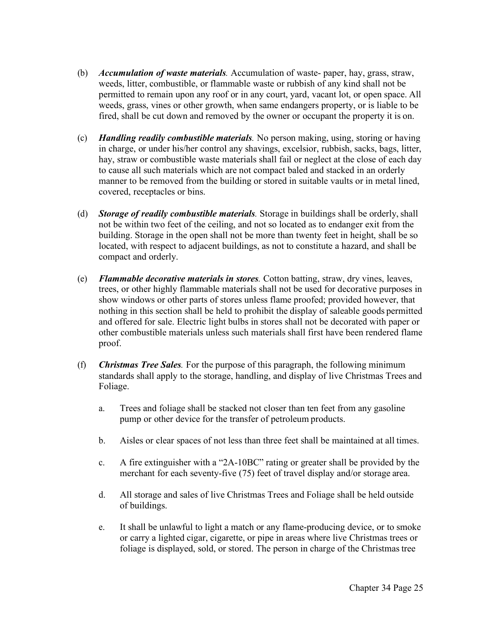- (b) *Accumulation of waste materials.* Accumulation of waste- paper, hay, grass, straw, weeds, litter, combustible, or flammable waste or rubbish of any kind shall not be permitted to remain upon any roof or in any court, yard, vacant lot, or open space. All weeds, grass, vines or other growth, when same endangers property, or is liable to be fired, shall be cut down and removed by the owner or occupant the property it is on.
- (c) *Handling readily combustible materials.* No person making, using, storing or having in charge, or under his/her control any shavings, excelsior, rubbish, sacks, bags, litter, hay, straw or combustible waste materials shall fail or neglect at the close of each day to cause all such materials which are not compact baled and stacked in an orderly manner to be removed from the building or stored in suitable vaults or in metal lined, covered, receptacles or bins.
- (d) *Storage of readily combustible materials.* Storage in buildings shall be orderly,shall not be within two feet of the ceiling, and not so located as to endanger exit from the building. Storage in the open shall not be more than twenty feet in height, shall be so located, with respect to adjacent buildings, as not to constitute a hazard, and shall be compact and orderly.
- (e) *Flammable decorative materials in stores.* Cotton batting, straw, dry vines, leaves, trees, or other highly flammable materials shall not be used for decorative purposes in show windows or other parts of stores unless flame proofed; provided however, that nothing in this section shall be held to prohibit the display of saleable goods permitted and offered for sale. Electric light bulbs in stores shall not be decorated with paper or other combustible materials unless such materials shall first have been rendered flame proof.
- (f) *Christmas Tree Sales.* For the purpose of this paragraph, the following minimum standards shall apply to the storage, handling, and display of live Christmas Trees and Foliage.
	- a. Trees and foliage shall be stacked not closer than ten feet from any gasoline pump or other device for the transfer of petroleum products.
	- b. Aisles or clear spaces of not less than three feet shall be maintained at all times.
	- c. A fire extinguisher with a "2A-10BC" rating or greater shall be provided by the merchant for each seventy-five (75) feet of travel display and/or storage area.
	- d. All storage and sales of live Christmas Trees and Foliage shall be held outside of buildings.
	- e. It shall be unlawful to light a match or any flame-producing device, or to smoke or carry a lighted cigar, cigarette, or pipe in areas where live Christmas trees or foliage is displayed, sold, or stored. The person in charge of the Christmas tree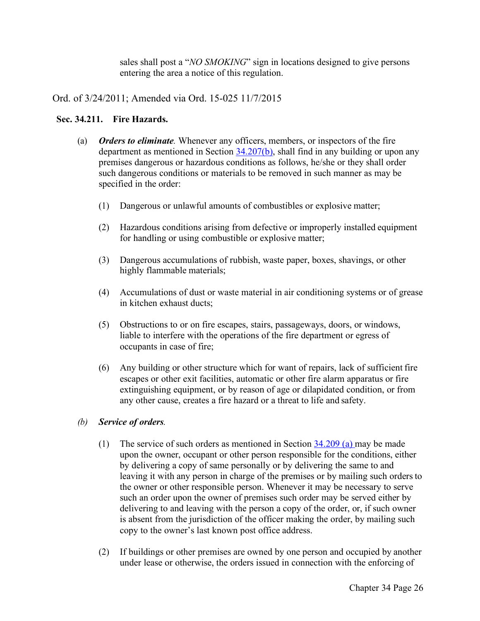sales shall post a "*NO SMOKING*" sign in locations designed to give persons entering the area a notice of this regulation.

### Ord. of 3/24/2011; Amended via Ord. 15-025 11/7/2015

#### <span id="page-25-0"></span>**Sec. 34.211. Fire Hazards.**

- (a) *Orders to eliminate.* Whenever any officers, members, or inspectors of the fire department as mentioned in Section [34.207\(b\),](#page-16-1) shall find in any building or upon any premises dangerous or hazardous conditions as follows, he/she or they shall order such dangerous conditions or materials to be removed in such manner as may be specified in the order:
	- (1) Dangerous or unlawful amounts of combustibles or explosive matter;
	- (2) Hazardous conditions arising from defective or improperly installed equipment for handling or using combustible or explosive matter;
	- (3) Dangerous accumulations of rubbish, waste paper, boxes, shavings, or other highly flammable materials;
	- (4) Accumulations of dust or waste material in air conditioning systems or of grease in kitchen exhaust ducts;
	- (5) Obstructions to or on fire escapes, stairs, passageways, doors, or windows, liable to interfere with the operations of the fire department or egress of occupants in case of fire;
	- (6) Any building or other structure which for want of repairs, lack of sufficient fire escapes or other exit facilities, automatic or other fire alarm apparatus or fire extinguishing equipment, or by reason of age or dilapidated condition, or from any other cause, creates a fire hazard or a threat to life and safety.

#### *(b) Service of orders.*

- (1) The service of such orders as mentioned in Section  $34.209$  (a) may be made upon the owner, occupant or other person responsible for the conditions, either by delivering a copy of same personally or by delivering the same to and leaving it with any person in charge of the premises or by mailing such orders to the owner or other responsible person. Whenever it may be necessary to serve such an order upon the owner of premises such order may be served either by delivering to and leaving with the person a copy of the order, or, if such owner is absent from the jurisdiction of the officer making the order, by mailing such copy to the owner's last known post office address.
- (2) If buildings or other premises are owned by one person and occupied by another under lease or otherwise, the orders issued in connection with the enforcing of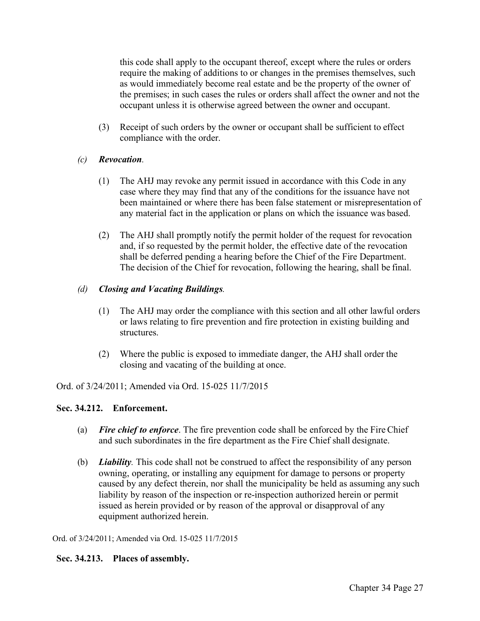this code shall apply to the occupant thereof, except where the rules or orders require the making of additions to or changes in the premises themselves, such as would immediately become real estate and be the property of the owner of the premises; in such cases the rules or orders shall affect the owner and not the occupant unless it is otherwise agreed between the owner and occupant.

(3) Receipt of such orders by the owner or occupant shall be sufficient to effect compliance with the order.

### *(c) Revocation.*

- (1) The AHJ may revoke any permit issued in accordance with this Code in any case where they may find that any of the conditions for the issuance have not been maintained or where there has been false statement or misrepresentation of any material fact in the application or plans on which the issuance was based.
- (2) The AHJ shall promptly notify the permit holder of the request for revocation and, if so requested by the permit holder, the effective date of the revocation shall be deferred pending a hearing before the Chief of the Fire Department. The decision of the Chief for revocation, following the hearing, shall be final.

### *(d) Closing and Vacating Buildings.*

- (1) The AHJ may order the compliance with this section and all other lawful orders or laws relating to fire prevention and fire protection in existing building and structures.
- (2) Where the public is exposed to immediate danger, the AHJ shall order the closing and vacating of the building at once.

Ord. of 3/24/2011; Amended via Ord. 15-025 11/7/2015

#### <span id="page-26-0"></span>**Sec. 34.212. Enforcement.**

- (a) *Fire chief to enforce*. The fire prevention code shall be enforced by the Fire Chief and such subordinates in the fire department as the Fire Chief shall designate.
- (b) *Liability.* This code shall not be construed to affect the responsibility of any person owning, operating, or installing any equipment for damage to persons or property caused by any defect therein, nor shall the municipality be held as assuming any such liability by reason of the inspection or re-inspection authorized herein or permit issued as herein provided or by reason of the approval or disapproval of any equipment authorized herein.

Ord. of 3/24/2011; Amended via Ord. 15-025 11/7/2015

#### <span id="page-26-1"></span>**Sec. 34.213. Places of assembly.**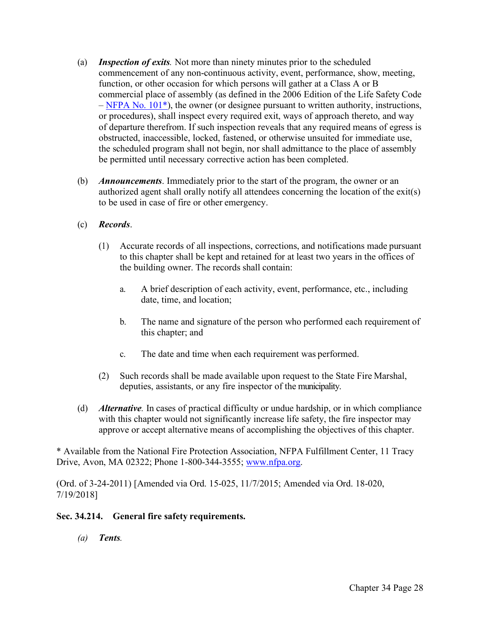- (a) *Inspection of exits.* Not more than ninety minutes prior to the scheduled commencement of any non-continuous activity, event, performance, show, meeting, function, or other occasion for which persons will gather at a Class A or B commercial place of assembly (as defined in the 2006 Edition of the Life Safety Code  $-$  NFPA No. 101<sup>\*</sup>), the owner (or designee pursuant to written authority, instructions, or procedures), shall inspect every required exit, ways of approach thereto, and way of departure therefrom. If such inspection reveals that any required means of egress is obstructed, inaccessible, locked, fastened, or otherwise unsuited for immediate use, the scheduled program shall not begin, nor shall admittance to the place of assembly be permitted until necessary corrective action has been completed.
- (b) *Announcements*. Immediately prior to the start of the program, the owner or an authorized agent shall orally notify all attendees concerning the location of the exit(s) to be used in case of fire or other emergency.

### (c) *Records*.

- (1) Accurate records of all inspections, corrections, and notifications made pursuant to this chapter shall be kept and retained for at least two years in the offices of the building owner. The records shall contain:
	- a. A brief description of each activity, event, performance, etc., including date, time, and location;
	- b. The name and signature of the person who performed each requirement of this chapter; and
	- c. The date and time when each requirement was performed.
- (2) Such records shall be made available upon request to the State Fire Marshal, deputies, assistants, or any fire inspector of the municipality.
- (d) *Alternative.* In cases of practical difficulty or undue hardship, or in which compliance with this chapter would not significantly increase life safety, the fire inspector may approve or accept alternative means of accomplishing the objectives of this chapter.

<span id="page-27-1"></span>\* Available from the National Fire Protection Association, NFPA Fulfillment Center, 11 Tracy Drive, Avon, MA 02322; Phone 1-800-344-3555; [www.nfpa.org.](http://www.nfpa.org/)

(Ord. of 3-24-2011) [Amended via Ord. 15-025, 11/7/2015; Amended via Ord. 18-020, 7/19/2018]

#### <span id="page-27-0"></span>**Sec. 34.214. General fire safety requirements.**

*(a) Tents.*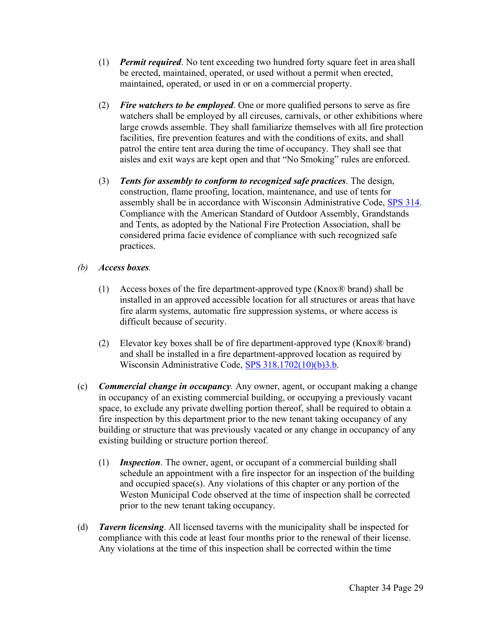- (1) *Permit required*. No tent exceeding two hundred forty square feet in area shall be erected, maintained, operated, or used without a permit when erected, maintained, operated, or used in or on a commercial property.
- (2) *Fire watchers to be employed*. One or more qualified persons to serve as fire watchers shall be employed by all circuses, carnivals, or other exhibitions where large crowds assemble. They shall familiarize themselves with all fire protection facilities, fire prevention features and with the conditions of exits, and shall patrol the entire tent area during the time of occupancy. They shall see that aisles and exit ways are kept open and that "No Smoking" rules are enforced.
- (3) *Tents for assembly to conform to recognized safe practices*. The design, construction, flame proofing, location, maintenance, and use of tents for assembly shall be in accordance with Wisconsin Administrative Code, [SPS 314.](https://docs.legis.wisconsin.gov/code/admin_code/sps/safety_and_buildings_and_environment/301_319/314) Compliance with the American Standard of Outdoor Assembly, Grandstands and Tents, as adopted by the National Fire Protection Association, shall be considered prima facie evidence of compliance with such recognized safe practices.
- *(b) Access boxes.*
	- (1) Access boxes of the fire department-approved type (Knox® brand) shall be installed in an approved accessible location for all structures or areas that have fire alarm systems, automatic fire suppression systems, or where access is difficult because of security.
	- (2) Elevator key boxes shall be of fire department-approved type (Knox® brand) and shall be installed in a fire department-approved location as required by Wisconsin Administrative Code, SPS [318.1702\(10\)\(b\)3.b.](http://docs.legis.wisconsin.gov/code/admin_code/sps/safety_and_buildings_and_environment/301_319/318/IV/1702/10/b)
- (c) *Commercial change in occupancy.* Any owner, agent, or occupant making a change in occupancy of an existing commercial building, or occupying a previously vacant space, to exclude any private dwelling portion thereof, shall be required to obtain a fire inspection by this department prior to the new tenant taking occupancy of any building or structure that was previously vacated or any change in occupancy of any existing building or structure portion thereof.
	- (1) *Inspection*. The owner, agent, or occupant of a commercial building shall schedule an appointment with a fire inspector for an inspection of the building and occupied space(s). Any violations of this chapter or any portion of the Weston Municipal Code observed at the time of inspection shall be corrected prior to the new tenant taking occupancy.
- (d) *Tavern licensing*. All licensed taverns with the municipality shall be inspected for compliance with this code at least four months prior to the renewal of their license. Any violations at the time of this inspection shall be corrected within the time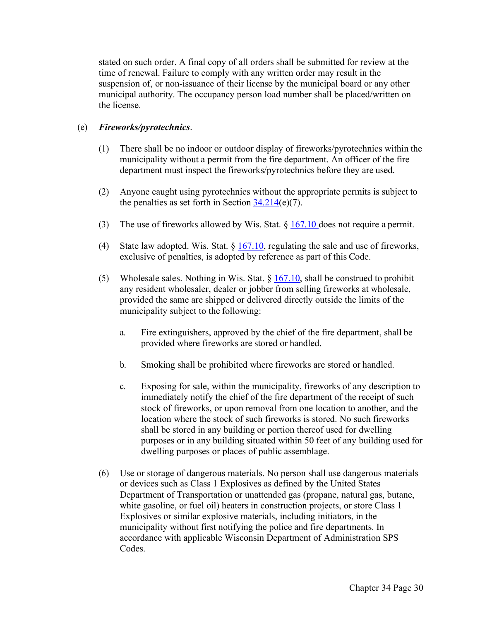stated on such order. A final copy of all orders shall be submitted for review at the time of renewal. Failure to comply with any written order may result in the suspension of, or non-issuance of their license by the municipal board or any other municipal authority. The occupancy person load number shall be placed/written on the license.

### (e) *Fireworks/pyrotechnics*.

- (1) There shall be no indoor or outdoor display of fireworks/pyrotechnics within the municipality without a permit from the fire department. An officer of the fire department must inspect the fireworks/pyrotechnics before they are used.
- (2) Anyone caught using pyrotechnics without the appropriate permits is subject to the penalties as set forth in Section  $34.214(e)(7)$  $34.214(e)(7)$ .
- (3) The use of fireworks allowed by Wis. Stat.  $\S$  [167.10 d](http://docs.legis.wisconsin.gov/statutes/statutes/167/10)oes not require a permit.
- (4) State law adopted. Wis. Stat. § [167.10,](http://docs.legis.wisconsin.gov/statutes/statutes/167/10) regulating the sale and use of fireworks, exclusive of penalties, is adopted by reference as part of this Code.
- (5) Wholesale sales. Nothing in Wis. Stat. § [167.10,](http://docs.legis.wisconsin.gov/statutes/statutes/167/10) shall be construed to prohibit any resident wholesaler, dealer or jobber from selling fireworks at wholesale, provided the same are shipped or delivered directly outside the limits of the municipality subject to the following:
	- a. Fire extinguishers, approved by the chief of the fire department, shall be provided where fireworks are stored or handled.
	- b. Smoking shall be prohibited where fireworks are stored or handled.
	- c. Exposing for sale, within the municipality, fireworks of any description to immediately notify the chief of the fire department of the receipt of such stock of fireworks, or upon removal from one location to another, and the location where the stock of such fireworks is stored. No such fireworks shall be stored in any building or portion thereof used for dwelling purposes or in any building situated within 50 feet of any building used for dwelling purposes or places of public assemblage.
- (6) Use or storage of dangerous materials. No person shall use dangerous materials or devices such as Class 1 Explosives as defined by the United States Department of Transportation or unattended gas (propane, natural gas, butane, white gasoline, or fuel oil) heaters in construction projects, or store Class 1 Explosives or similar explosive materials, including initiators, in the municipality without first notifying the police and fire departments. In accordance with applicable Wisconsin Department of Administration SPS Codes.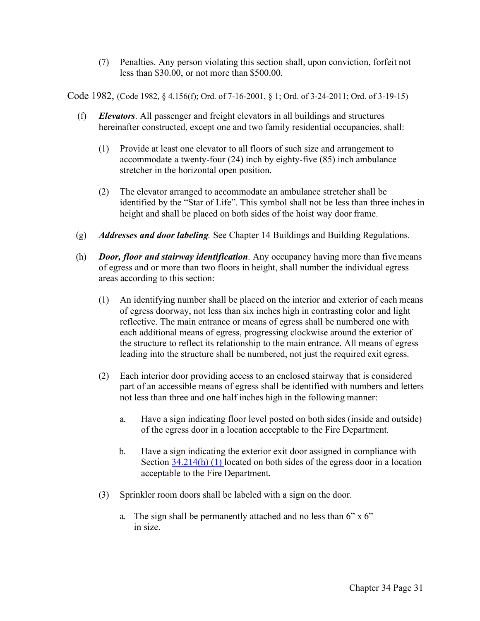(7) Penalties. Any person violating this section shall, upon conviction, forfeit not less than \$30.00, or not more than \$500.00.

Code 1982, (Code 1982, § 4.156(f); Ord. of 7-16-2001, § 1; Ord. of 3-24-2011; Ord. of 3-19-15)

- (f) *Elevators*. All passenger and freight elevators in all buildings and structures hereinafter constructed, except one and two family residential occupancies, shall:
	- (1) Provide at least one elevator to all floors of such size and arrangement to accommodate a twenty-four (24) inch by eighty-five (85) inch ambulance stretcher in the horizontal open position.
	- (2) The elevator arranged to accommodate an ambulance stretcher shall be identified by the "Star of Life". This symbol shall not be less than three inches in height and shall be placed on both sides of the hoist way door frame.
- (g) *Addresses and door labeling.* See Chapter 14 Buildings and Building Regulations.
- (h) *Door, floor and stairway identification*. Any occupancy having more than fivemeans of egress and or more than two floors in height, shall number the individual egress areas according to this section:
	- (1) An identifying number shall be placed on the interior and exterior of each means of egress doorway, not less than six inches high in contrasting color and light reflective. The main entrance or means of egress shall be numbered one with each additional means of egress, progressing clockwise around the exterior of the structure to reflect its relationship to the main entrance. All means of egress leading into the structure shall be numbered, not just the required exit egress.
	- (2) Each interior door providing access to an enclosed stairway that is considered part of an accessible means of egress shall be identified with numbers and letters not less than three and one half inches high in the following manner:
		- a. Have a sign indicating floor level posted on both sides (inside and outside) of the egress door in a location acceptable to the Fire Department.
		- b. Have a sign indicating the exterior exit door assigned in compliance with Section  $34.214(h)$  (1) located on both sides of the egress door in a location acceptable to the Fire Department.
	- (3) Sprinkler room doors shall be labeled with a sign on the door.
		- a. The sign shall be permanently attached and no less than  $6" \times 6"$ in size.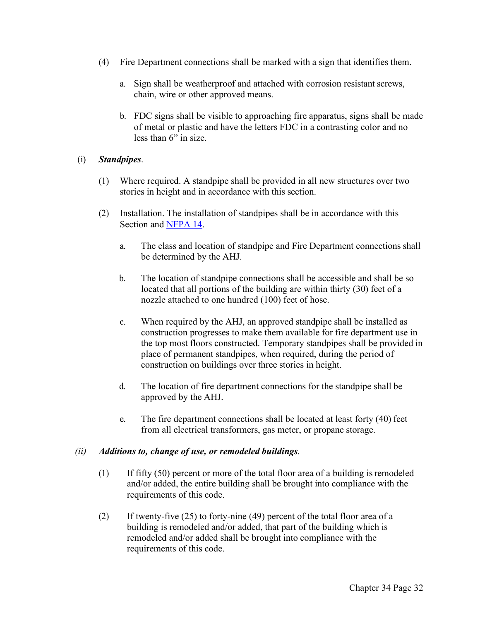- (4) Fire Department connections shall be marked with a sign that identifies them.
	- a. Sign shall be weatherproof and attached with corrosion resistant screws, chain, wire or other approved means.
	- b. FDC signs shall be visible to approaching fire apparatus, signs shall be made of metal or plastic and have the letters FDC in a contrasting color and no less than 6" in size.

### (i) *Standpipes*.

- (1) Where required. A standpipe shall be provided in all new structures over two stories in height and in accordance with this section.
- (2) Installation. The installation of standpipes shall be in accordance with this Section and [NFPA](https://www.nfpa.org/codes-and-standards/all-codes-and-standards/list-of-codes-and-standards/detail?code=14) 14.
	- a. The class and location of standpipe and Fire Department connections shall be determined by the AHJ.
	- b. The location of standpipe connections shall be accessible and shall be so located that all portions of the building are within thirty (30) feet of a nozzle attached to one hundred (100) feet of hose.
	- c. When required by the AHJ, an approved standpipe shall be installed as construction progresses to make them available for fire department use in the top most floors constructed. Temporary standpipes shall be provided in place of permanent standpipes, when required, during the period of construction on buildings over three stories in height.
	- d. The location of fire department connections for the standpipe shall be approved by the AHJ.
	- e. The fire department connections shall be located at least forty (40) feet from all electrical transformers, gas meter, or propane storage.

#### *(ii) Additions to, change of use, or remodeled buildings.*

- (1) If fifty (50) percent or more of the total floor area of a building isremodeled and/or added, the entire building shall be brought into compliance with the requirements of this code.
- (2) If twenty-five (25) to forty-nine (49) percent of the total floor area of a building is remodeled and/or added, that part of the building which is remodeled and/or added shall be brought into compliance with the requirements of this code.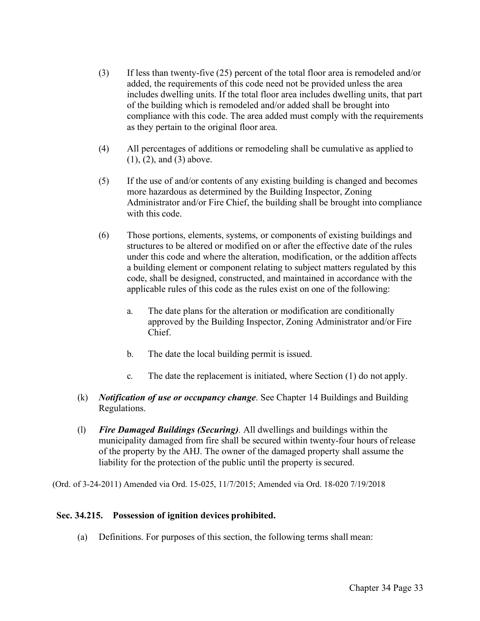- (3) If less than twenty-five (25) percent of the total floor area is remodeled and/or added, the requirements of this code need not be provided unless the area includes dwelling units. If the total floor area includes dwelling units, that part of the building which is remodeled and/or added shall be brought into compliance with this code. The area added must comply with the requirements as they pertain to the original floor area.
- (4) All percentages of additions or remodeling shall be cumulative as applied to (1), (2), and (3) above.
- (5) If the use of and/or contents of any existing building is changed and becomes more hazardous as determined by the Building Inspector, Zoning Administrator and/or Fire Chief, the building shall be brought into compliance with this code.
- (6) Those portions, elements, systems, or components of existing buildings and structures to be altered or modified on or after the effective date of the rules under this code and where the alteration, modification, or the addition affects a building element or component relating to subject matters regulated by this code, shall be designed, constructed, and maintained in accordance with the applicable rules of this code as the rules exist on one of the following:
	- a. The date plans for the alteration or modification are conditionally approved by the Building Inspector, Zoning Administrator and/or Fire Chief.
	- b. The date the local building permit is issued.
	- c. The date the replacement is initiated, where Section (1) do not apply.
- (k) *Notification of use or occupancy change*. See Chapter 14 Buildings and Building Regulations.
- (l) *Fire Damaged Buildings (Securing).* All dwellings and buildings within the municipality damaged from fire shall be secured within twenty-four hours of release of the property by the AHJ. The owner of the damaged property shall assume the liability for the protection of the public until the property is secured.

(Ord. of 3-24-2011) Amended via Ord. 15-025, 11/7/2015; Amended via Ord. 18-020 7/19/2018

#### <span id="page-32-0"></span>**Sec. 34.215. Possession of ignition devices prohibited.**

(a) Definitions. For purposes of this section, the following terms shall mean: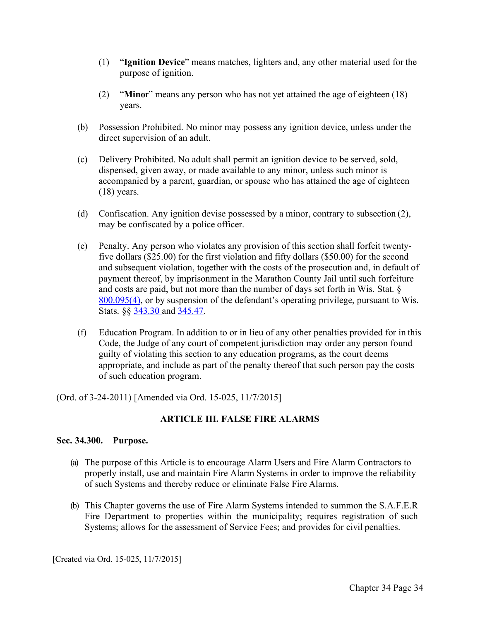- (1) "**Ignition Device**" means matches, lighters and, any other material used for the purpose of ignition.
- (2) "**Mino**r" means any person who has not yet attained the age of eighteen (18) years.
- (b) Possession Prohibited. No minor may possess any ignition device, unless under the direct supervision of an adult.
- (c) Delivery Prohibited. No adult shall permit an ignition device to be served, sold, dispensed, given away, or made available to any minor, unless such minor is accompanied by a parent, guardian, or spouse who has attained the age of eighteen (18) years.
- (d) Confiscation. Any ignition devise possessed by a minor, contrary to subsection (2), may be confiscated by a police officer.
- (e) Penalty. Any person who violates any provision of this section shall forfeit twentyfive dollars (\$25.00) for the first violation and fifty dollars (\$50.00) for the second and subsequent violation, together with the costs of the prosecution and, in default of payment thereof, by imprisonment in the Marathon County Jail until such forfeiture and costs are paid, but not more than the number of days set forth in Wis. Stat. § [800.095\(4\),](http://docs.legis.wisconsin.gov/statutes/statutes/800/095/4) or by suspension of the defendant's operating privilege, pursuant to Wis. Stats. §§ [343.30 a](http://docs.legis.wisconsin.gov/statutes/statutes/343/III/30)nd [345.47.](http://docs.legis.wisconsin.gov/statutes/statutes/345/III/47)
- (f) Education Program. In addition to or in lieu of any other penalties provided for in this Code, the Judge of any court of competent jurisdiction may order any person found guilty of violating this section to any education programs, as the court deems appropriate, and include as part of the penalty thereof that such person pay the costs of such education program.

(Ord. of 3-24-2011) [Amended via Ord. 15-025, 11/7/2015]

### **ARTICLE III. FALSE FIRE ALARMS**

#### <span id="page-33-0"></span>**Sec. 34.300. Purpose.**

- (a) The purpose of this Article is to encourage Alarm Users and Fire Alarm Contractors to properly install, use and maintain Fire Alarm Systems in order to improve the reliability of such Systems and thereby reduce or eliminate False Fire Alarms.
- (b) This Chapter governs the use of Fire Alarm Systems intended to summon the S.A.F.E.R Fire Department to properties within the municipality; requires registration of such Systems; allows for the assessment of Service Fees; and provides for civil penalties.

[Created via Ord. 15-025, 11/7/2015]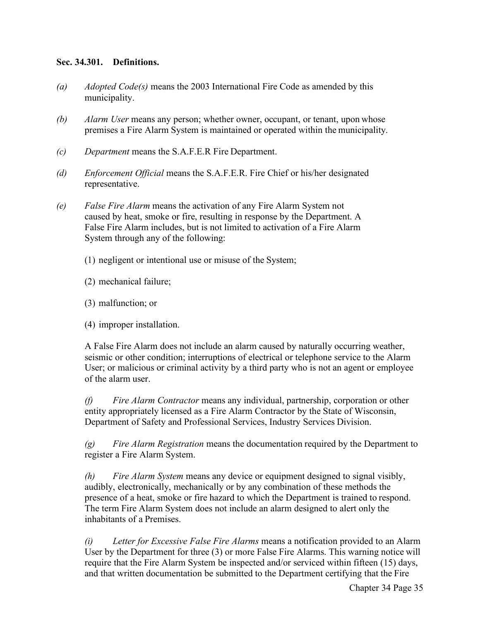#### <span id="page-34-0"></span>**Sec. 34.301. Definitions.**

- *(a) Adopted Code(s)* means the 2003 International Fire Code as amended by this municipality.
- *(b) Alarm User* means any person; whether owner, occupant, or tenant, upon whose premises a Fire Alarm System is maintained or operated within the municipality.
- *(c) Department* means the S.A.F.E.R Fire Department.
- *(d) Enforcement Official* means the S.A.F.E.R. Fire Chief or his/her designated representative.
- *(e) False Fire Alarm* means the activation of any Fire Alarm System not caused by heat, smoke or fire, resulting in response by the Department. A False Fire Alarm includes, but is not limited to activation of a Fire Alarm System through any of the following:
	- (1) negligent or intentional use or misuse of the System;
	- (2) mechanical failure;
	- (3) malfunction; or
	- (4) improper installation.

A False Fire Alarm does not include an alarm caused by naturally occurring weather, seismic or other condition; interruptions of electrical or telephone service to the Alarm User; or malicious or criminal activity by a third party who is not an agent or employee of the alarm user.

*(f) Fire Alarm Contractor* means any individual, partnership, corporation or other entity appropriately licensed as a Fire Alarm Contractor by the State of Wisconsin, Department of Safety and Professional Services, Industry Services Division.

*(g) Fire Alarm Registration* means the documentation required by the Department to register a Fire Alarm System.

*(h) Fire Alarm System* means any device or equipment designed to signal visibly, audibly, electronically, mechanically or by any combination of these methods the presence of a heat, smoke or fire hazard to which the Department is trained to respond. The term Fire Alarm System does not include an alarm designed to alert only the inhabitants of a Premises.

*(i) Letter for Excessive False Fire Alarms* means a notification provided to an Alarm User by the Department for three (3) or more False Fire Alarms. This warning notice will require that the Fire Alarm System be inspected and/or serviced within fifteen (15) days, and that written documentation be submitted to the Department certifying that the Fire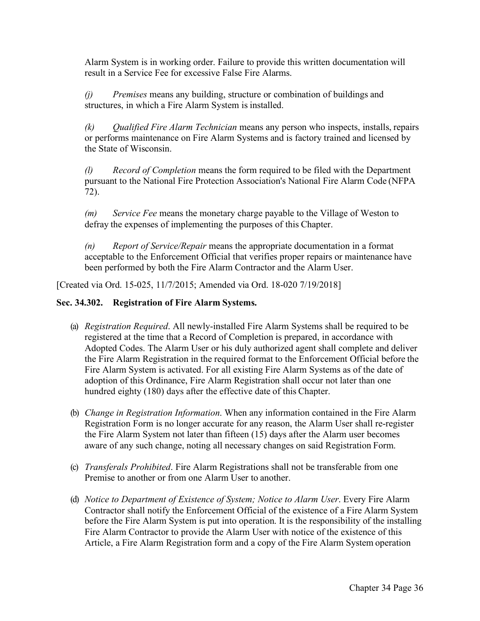Alarm System is in working order. Failure to provide this written documentation will result in a Service Fee for excessive False Fire Alarms.

*(j) Premises* means any building, structure or combination of buildings and structures, in which a Fire Alarm System is installed.

*(k) Qualified Fire Alarm Technician* means any person who inspects, installs, repairs or performs maintenance on Fire Alarm Systems and is factory trained and licensed by the State of Wisconsin.

*(l) Record of Completion* means the form required to be filed with the Department pursuant to the National Fire Protection Association's National Fire Alarm Code (NFPA 72).

*(m) Service Fee* means the monetary charge payable to the Village of Weston to defray the expenses of implementing the purposes of this Chapter.

*(n) Report of Service/Repair* means the appropriate documentation in a format acceptable to the Enforcement Official that verifies proper repairs or maintenance have been performed by both the Fire Alarm Contractor and the Alarm User.

<span id="page-35-0"></span>[Created via Ord. 15-025, 11/7/2015; Amended via Ord. 18-020 7/19/2018]

### **Sec. 34.302. Registration of Fire Alarm Systems.**

- (a) *Registration Required*. All newly-installed Fire Alarm Systems shall be required to be registered at the time that a Record of Completion is prepared, in accordance with Adopted Codes. The Alarm User or his duly authorized agent shall complete and deliver the Fire Alarm Registration in the required format to the Enforcement Official before the Fire Alarm System is activated. For all existing Fire Alarm Systems as of the date of adoption of this Ordinance, Fire Alarm Registration shall occur not later than one hundred eighty (180) days after the effective date of this Chapter.
- (b) *Change in Registration Information*. When any information contained in the Fire Alarm Registration Form is no longer accurate for any reason, the Alarm User shall re-register the Fire Alarm System not later than fifteen (15) days after the Alarm user becomes aware of any such change, noting all necessary changes on said Registration Form.
- (c) *Transferals Prohibited*. Fire Alarm Registrations shall not be transferable from one Premise to another or from one Alarm User to another.
- (d) *Notice to Department of Existence of System; Notice to Alarm User*. Every Fire Alarm Contractor shall notify the Enforcement Official of the existence of a Fire Alarm System before the Fire Alarm System is put into operation. It is the responsibility of the installing Fire Alarm Contractor to provide the Alarm User with notice of the existence of this Article, a Fire Alarm Registration form and a copy of the Fire Alarm System operation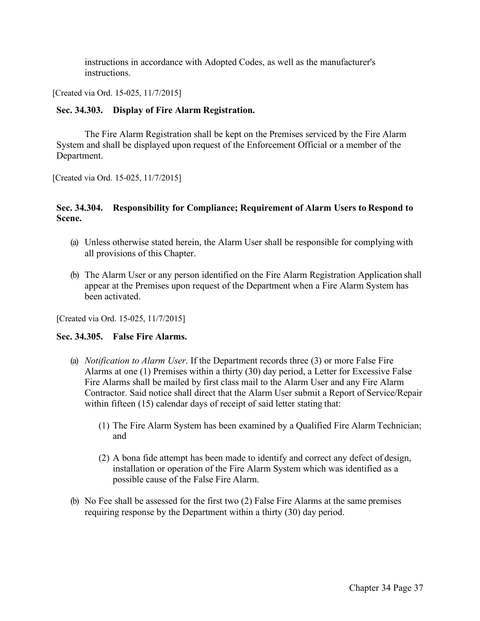instructions in accordance with Adopted Codes, as well as the manufacturer's instructions.

[Created via Ord. 15-025, 11/7/2015]

### <span id="page-36-0"></span>**Sec. 34.303. Display of Fire Alarm Registration.**

The Fire Alarm Registration shall be kept on the Premises serviced by the Fire Alarm System and shall be displayed upon request of the Enforcement Official or a member of the Department.

[Created via Ord. 15-025, 11/7/2015]

### <span id="page-36-1"></span>**Sec. 34.304. Responsibility for Compliance; Requirement of Alarm Users to Respond to Scene.**

- (a) Unless otherwise stated herein, the Alarm User shall be responsible for complying with all provisions of this Chapter.
- (b) The Alarm User or any person identified on the Fire Alarm Registration Application shall appear at the Premises upon request of the Department when a Fire Alarm System has been activated.

<span id="page-36-2"></span>[Created via Ord. 15-025, 11/7/2015]

#### **Sec. 34.305. False Fire Alarms.**

- (a) *Notification to Alarm User*. If the Department records three (3) or more False Fire Alarms at one (1) Premises within a thirty (30) day period, a Letter for Excessive False Fire Alarms shall be mailed by first class mail to the Alarm User and any Fire Alarm Contractor. Said notice shall direct that the Alarm User submit a Report of Service/Repair within fifteen (15) calendar days of receipt of said letter stating that:
	- (1) The Fire Alarm System has been examined by a Qualified Fire Alarm Technician; and
	- (2) A bona fide attempt has been made to identify and correct any defect of design, installation or operation of the Fire Alarm System which was identified as a possible cause of the False Fire Alarm.
- (b) No Fee shall be assessed for the first two (2) False Fire Alarms at the same premises requiring response by the Department within a thirty (30) day period.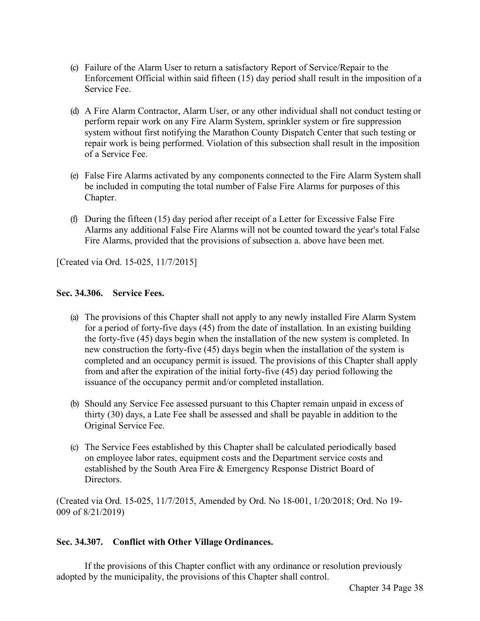- (c) Failure of the Alarm User to return a satisfactory Report of Service/Repair to the Enforcement Official within said fifteen (15) day period shall result in the imposition of a Service Fee.
- (d) A Fire Alarm Contractor, Alarm User, or any other individual shall not conduct testing or perform repair work on any Fire Alarm System, sprinkler system or fire suppression system without first notifying the Marathon County Dispatch Center that such testing or repair work is being performed. Violation of this subsection shall result in the imposition of a Service Fee.
- (e) False Fire Alarms activated by any components connected to the Fire Alarm System shall be included in computing the total number of False Fire Alarms for purposes of this Chapter.
- (f) During the fifteen (15) day period after receipt of a Letter for Excessive False Fire Alarms any additional False Fire Alarms will not be counted toward the year's total False Fire Alarms, provided that the provisions of subsection a. above have been met.

[Created via Ord. 15-025, 11/7/2015]

### <span id="page-37-0"></span>**Sec. 34.306. Service Fees.**

- (a) The provisions of this Chapter shall not apply to any newly installed Fire Alarm System for a period of forty-five days (45) from the date of installation. In an existing building the forty-five (45) days begin when the installation of the new system is completed. In new construction the forty-five (45) days begin when the installation of the system is completed and an occupancy permit is issued. The provisions of this Chapter shall apply from and after the expiration of the initial forty-five (45) day period following the issuance of the occupancy permit and/or completed installation.
- (b) Should any Service Fee assessed pursuant to this Chapter remain unpaid in excess of thirty (30) days, a Late Fee shall be assessed and shall be payable in addition to the Original Service Fee.
- (c) The Service Fees established by this Chapter shall be calculated periodically based on employee labor rates, equipment costs and the Department service costs and established by the South Area Fire & Emergency Response District Board of Directors.

(Created via Ord. 15-025, 11/7/2015, Amended by Ord. No 18-001, 1/20/2018; Ord. No 19- 009 of 8/21/2019)

#### <span id="page-37-1"></span>**Sec. 34.307. Conflict with Other Village Ordinances.**

If the provisions of this Chapter conflict with any ordinance or resolution previously adopted by the municipality, the provisions of this Chapter shall control.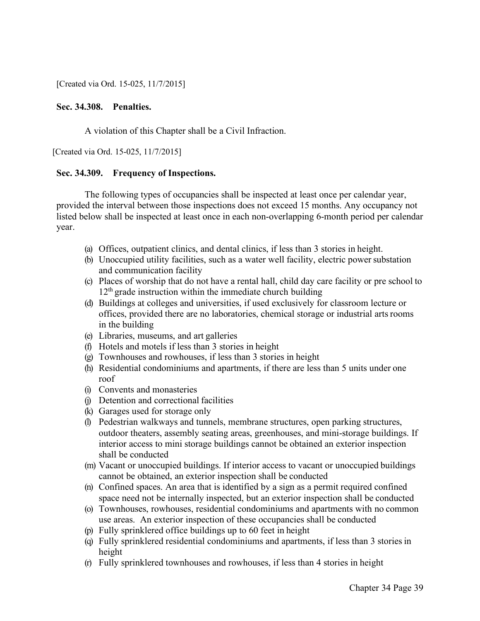[Created via Ord. 15-025, 11/7/2015]

#### <span id="page-38-0"></span>**Sec. 34.308. Penalties.**

A violation of this Chapter shall be a Civil Infraction.

[Created via Ord. 15-025, 11/7/2015]

#### <span id="page-38-1"></span>**Sec. 34.309. Frequency of Inspections.**

The following types of occupancies shall be inspected at least once per calendar year, provided the interval between those inspections does not exceed 15 months. Any occupancy not listed below shall be inspected at least once in each non-overlapping 6-month period per calendar year.

- (a) Offices, outpatient clinics, and dental clinics, if less than 3 stories in height.
- (b) Unoccupied utility facilities, such as a water well facility, electric power substation and communication facility
- (c) Places of worship that do not have a rental hall, child day care facility or pre school to  $12<sup>th</sup>$  grade instruction within the immediate church building
- (d) Buildings at colleges and universities, if used exclusively for classroom lecture or offices, provided there are no laboratories, chemical storage or industrial artsrooms in the building
- (e) Libraries, museums, and art galleries
- (f) Hotels and motels if less than 3 stories in height
- (g) Townhouses and rowhouses, if less than 3 stories in height
- (h) Residential condominiums and apartments, if there are less than 5 units under one roof
- (i) Convents and monasteries
- (j) Detention and correctional facilities
- (k) Garages used for storage only
- (l) Pedestrian walkways and tunnels, membrane structures, open parking structures, outdoor theaters, assembly seating areas, greenhouses, and mini-storage buildings. If interior access to mini storage buildings cannot be obtained an exterior inspection shall be conducted
- (m) Vacant or unoccupied buildings. If interior access to vacant or unoccupied buildings cannot be obtained, an exterior inspection shall be conducted
- (n) Confined spaces. An area that is identified by a sign as a permit required confined space need not be internally inspected, but an exterior inspection shall be conducted
- (o) Townhouses, rowhouses, residential condominiums and apartments with no common use areas. An exterior inspection of these occupancies shall be conducted
- (p) Fully sprinklered office buildings up to 60 feet in height
- (q) Fully sprinklered residential condominiums and apartments, if less than 3 storiesin height
- (r) Fully sprinklered townhouses and rowhouses, if less than 4 stories in height